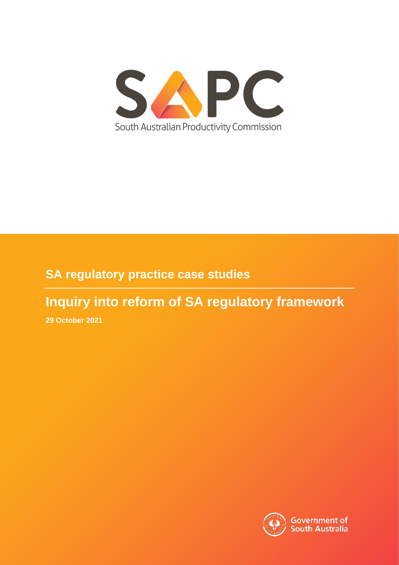

# **SA regulatory practice case studies**

# **Inquiry into reform of SA regulatory framework**

**29 October 2021**

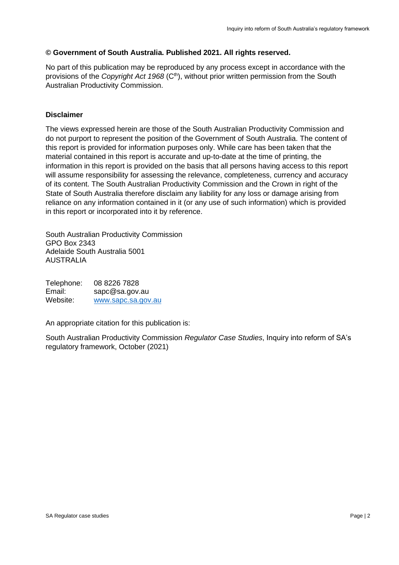#### **© Government of South Australia. Published 2021. All rights reserved.**

No part of this publication may be reproduced by any process except in accordance with the provisions of the *Copyright Act 1968* (C<sup>th</sup>), without prior written permission from the South Australian Productivity Commission.

#### **Disclaimer**

The views expressed herein are those of the South Australian Productivity Commission and do not purport to represent the position of the Government of South Australia. The content of this report is provided for information purposes only. While care has been taken that the material contained in this report is accurate and up-to-date at the time of printing, the information in this report is provided on the basis that all persons having access to this report will assume responsibility for assessing the relevance, completeness, currency and accuracy of its content. The South Australian Productivity Commission and the Crown in right of the State of South Australia therefore disclaim any liability for any loss or damage arising from reliance on any information contained in it (or any use of such information) which is provided in this report or incorporated into it by reference.

South Australian Productivity Commission GPO Box 2343 Adelaide South Australia 5001 AUSTRALIA

Telephone: 08 8226 7828 Email: sapc@sa.gov.au Website: www.sapc.sa.gov.au

An appropriate citation for this publication is:

South Australian Productivity Commission *Regulator Case Studies*, Inquiry into reform of SA's regulatory framework, October (2021)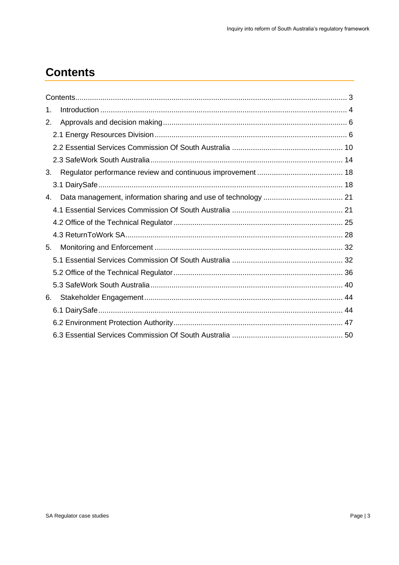# <span id="page-2-0"></span>**Contents**

| 1. |  |
|----|--|
| 2. |  |
|    |  |
|    |  |
|    |  |
| 3. |  |
|    |  |
| 4. |  |
|    |  |
|    |  |
|    |  |
| 5. |  |
|    |  |
|    |  |
|    |  |
| 6. |  |
|    |  |
|    |  |
|    |  |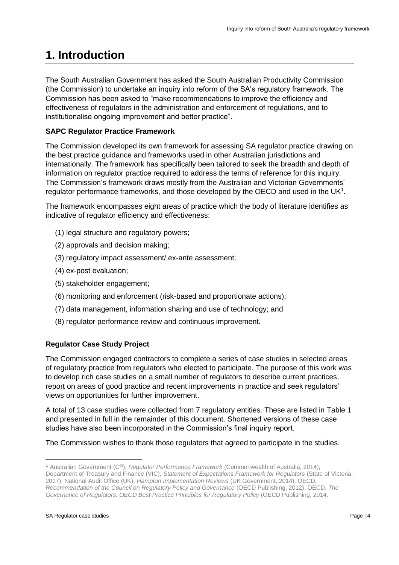# <span id="page-3-0"></span>**1. Introduction**

The South Australian Government has asked the South Australian Productivity Commission (the Commission) to undertake an inquiry into reform of the SA's regulatory framework. The Commission has been asked to "make recommendations to improve the efficiency and effectiveness of regulators in the administration and enforcement of regulations, and to institutionalise ongoing improvement and better practice".

## **SAPC Regulator Practice Framework**

The Commission developed its own framework for assessing SA regulator practice drawing on the best practice guidance and frameworks used in other Australian jurisdictions and internationally. The framework has specifically been tailored to seek the breadth and depth of information on regulator practice required to address the terms of reference for this inquiry. The Commission's framework draws mostly from the Australian and Victorian Governments' regulator performance frameworks, and those developed by the OECD and used in the UK<sup>1</sup>.

The framework encompasses eight areas of practice which the body of literature identifies as indicative of regulator efficiency and effectiveness:

- (1) legal structure and regulatory powers;
- (2) approvals and decision making;
- (3) regulatory impact assessment/ ex-ante assessment;
- (4) ex-post evaluation;
- (5) stakeholder engagement;
- (6) monitoring and enforcement (risk-based and proportionate actions);
- (7) data management, information sharing and use of technology; and
- (8) regulator performance review and continuous improvement.

## **Regulator Case Study Project**

The Commission engaged contractors to complete a series of case studies in selected areas of regulatory practice from regulators who elected to participate. The purpose of this work was to develop rich case studies on a small number of regulators to describe current practices, report on areas of good practice and recent improvements in practice and seek regulators' views on opportunities for further improvement.

A total of 13 case studies were collected from 7 regulatory entities. These are listed in Table 1 and presented in full in the remainder of this document. Shortened versions of these case studies have also been incorporated in the Commission's final inquiry report.

The Commission wishes to thank those regulators that agreed to participate in the studies.

<sup>&</sup>lt;sup>1</sup> Australian Government (C<sup>th</sup>), *Regulator Performance Framework* (Commonwealth of Australia, 2014); Department of Treasury and Finance (VIC), *Statement of Expectations Framework for Regulators* (State of Victoria, 2017); National Audit Office (UK), *Hampton Implementation Reviews* (UK Government, 2014); OECD, *Recommendation of the Council on Regulatory Policy and Governance* (OECD Publishing, 2012); OECD, *The* 

*Governance of Regulators: OECD Best Practice Principles for Regulatory Policy* (OECD Publishing, 2014.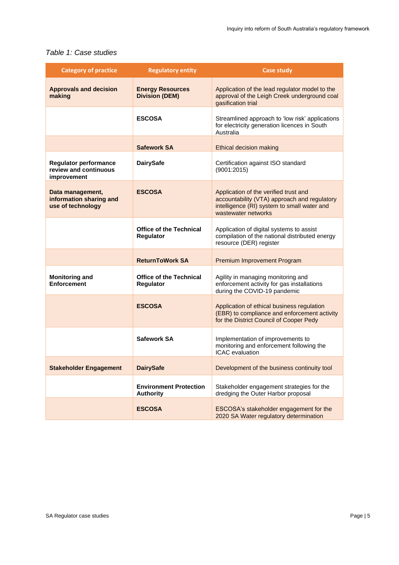### *Table 1: Case studies*

| <b>Category of practice</b>                                          | <b>Regulatory entity</b>                          | Case study                                                                                                                                                  |
|----------------------------------------------------------------------|---------------------------------------------------|-------------------------------------------------------------------------------------------------------------------------------------------------------------|
| <b>Approvals and decision</b><br>making                              | <b>Energy Resources</b><br><b>Division (DEM)</b>  | Application of the lead regulator model to the<br>approval of the Leigh Creek underground coal<br>gasification trial                                        |
|                                                                      | <b>ESCOSA</b>                                     | Streamlined approach to 'low risk' applications<br>for electricity generation licences in South<br>Australia                                                |
|                                                                      | <b>Safework SA</b>                                | Ethical decision making                                                                                                                                     |
| <b>Regulator performance</b><br>review and continuous<br>improvement | <b>DairySafe</b>                                  | Certification against ISO standard<br>(9001:2015)                                                                                                           |
| Data management,<br>information sharing and<br>use of technology     | <b>ESCOSA</b>                                     | Application of the verified trust and<br>accountability (VTA) approach and regulatory<br>intelligence (RI) system to small water and<br>wastewater networks |
|                                                                      | <b>Office of the Technical</b><br>Regulator       | Application of digital systems to assist<br>compilation of the national distributed energy<br>resource (DER) register                                       |
|                                                                      | <b>ReturnToWork SA</b>                            | Premium Improvement Program                                                                                                                                 |
| <b>Monitoring and</b><br><b>Enforcement</b>                          | <b>Office of the Technical</b><br>Regulator       | Agility in managing monitoring and<br>enforcement activity for gas installations<br>during the COVID-19 pandemic                                            |
|                                                                      | <b>ESCOSA</b>                                     | Application of ethical business regulation<br>(EBR) to compliance and enforcement activity<br>for the District Council of Cooper Pedy                       |
|                                                                      | Safework SA                                       | Implementation of improvements to<br>monitoring and enforcement following the<br><b>ICAC</b> evaluation                                                     |
| <b>Stakeholder Engagement</b>                                        | <b>DairySafe</b>                                  | Development of the business continuity tool                                                                                                                 |
|                                                                      | <b>Environment Protection</b><br><b>Authority</b> | Stakeholder engagement strategies for the<br>dredging the Outer Harbor proposal                                                                             |
|                                                                      | <b>ESCOSA</b>                                     | ESCOSA's stakeholder engagement for the<br>2020 SA Water regulatory determination                                                                           |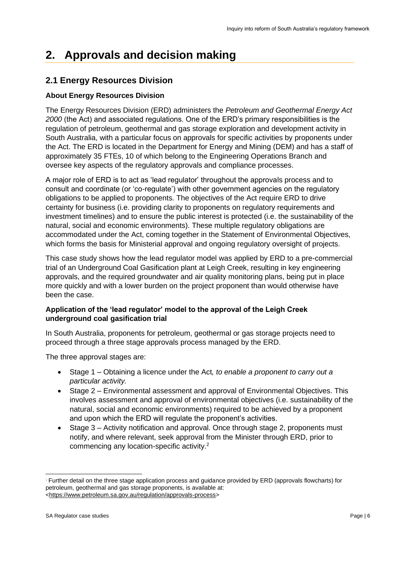# <span id="page-5-0"></span>**2. Approvals and decision making**

# <span id="page-5-1"></span>**2.1 Energy Resources Division**

# **About Energy Resources Division**

The Energy Resources Division (ERD) administers the *Petroleum and Geothermal Energy Act 2000* (the Act) and associated regulations. One of the ERD's primary responsibilities is the regulation of petroleum, geothermal and gas storage exploration and development activity in South Australia, with a particular focus on approvals for specific activities by proponents under the Act. The ERD is located in the Department for Energy and Mining (DEM) and has a staff of approximately 35 FTEs, 10 of which belong to the Engineering Operations Branch and oversee key aspects of the regulatory approvals and compliance processes.

A major role of ERD is to act as 'lead regulator' throughout the approvals process and to consult and coordinate (or 'co-regulate') with other government agencies on the regulatory obligations to be applied to proponents. The objectives of the Act require ERD to drive certainty for business (i.e. providing clarity to proponents on regulatory requirements and investment timelines) and to ensure the public interest is protected (i.e. the sustainability of the natural, social and economic environments). These multiple regulatory obligations are accommodated under the Act, coming together in the Statement of Environmental Objectives, which forms the basis for Ministerial approval and ongoing regulatory oversight of projects.

This case study shows how the lead regulator model was applied by ERD to a pre-commercial trial of an Underground Coal Gasification plant at Leigh Creek, resulting in key engineering approvals, and the required groundwater and air quality monitoring plans, being put in place more quickly and with a lower burden on the project proponent than would otherwise have been the case.

#### **Application of the 'lead regulator' model to the approval of the Leigh Creek underground coal gasification trial**

In South Australia, proponents for petroleum, geothermal or gas storage projects need to proceed through a three stage approvals process managed by the ERD.

The three approval stages are:

- Stage 1 Obtaining a licence under the Act*, to enable a proponent to carry out a particular activity.*
- Stage 2 Environmental assessment and approval of Environmental Objectives. This involves assessment and approval of environmental objectives (i.e. sustainability of the natural, social and economic environments) required to be achieved by a proponent and upon which the ERD will regulate the proponent's activities.
- Stage 3 Activity notification and approval. Once through stage 2, proponents must notify, and where relevant, seek approval from the Minister through ERD, prior to commencing any location-specific activity.<sup>2</sup>

<sup>2</sup> Further detail on the three stage application process and guidance provided by ERD (approvals flowcharts) for petroleum, geothermal and gas storage proponents, is available at: [<https://www.petroleum.sa.gov.au/regulation/approvals-process>](https://www.petroleum.sa.gov.au/regulation/approvals-process)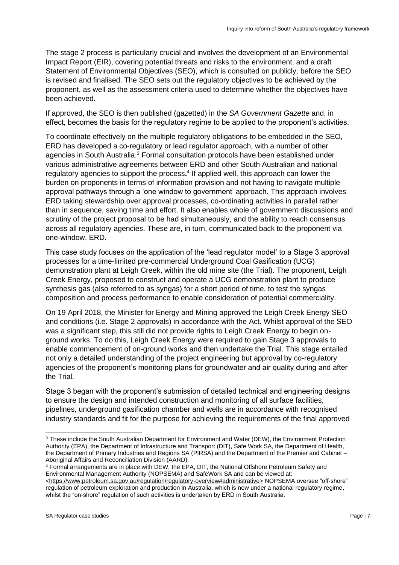The stage 2 process is particularly crucial and involves the development of an Environmental Impact Report (EIR), covering potential threats and risks to the environment, and a draft Statement of Environmental Objectives (SEO), which is consulted on publicly, before the SEO is revised and finalised. The SEO sets out the regulatory objectives to be achieved by the proponent, as well as the assessment criteria used to determine whether the objectives have been achieved.

If approved, the SEO is then published (gazetted) in the *SA Government Gazette* and, in effect, becomes the basis for the regulatory regime to be applied to the proponent's activities.

To coordinate effectively on the multiple regulatory obligations to be embedded in the SEO, ERD has developed a co-regulatory or lead regulator approach, with a number of other agencies in South Australia.<sup>3</sup> Formal consultation protocols have been established under various administrative agreements between ERD and other South Australian and national regulatory agencies to support the process.<sup>4</sup> If applied well, this approach can lower the burden on proponents in terms of information provision and not having to navigate multiple approval pathways through a 'one window to government' approach. This approach involves ERD taking stewardship over approval processes, co-ordinating activities in parallel rather than in sequence, saving time and effort. It also enables whole of government discussions and scrutiny of the project proposal to be had simultaneously, and the ability to reach consensus across all regulatory agencies. These are, in turn, communicated back to the proponent via one-window, ERD.

This case study focuses on the application of the 'lead regulator model' to a Stage 3 approval processes for a time-limited pre-commercial Underground Coal Gasification (UCG) demonstration plant at Leigh Creek, within the old mine site (the Trial). The proponent, Leigh Creek Energy, proposed to construct and operate a UCG demonstration plant to produce synthesis gas (also referred to as syngas) for a short period of time, to test the syngas composition and process performance to enable consideration of potential commerciality.

On 19 April 2018, the Minister for Energy and Mining approved the Leigh Creek Energy SEO and conditions (i.e. Stage 2 approvals) in accordance with the Act. Whilst approval of the SEO was a significant step, this still did not provide rights to Leigh Creek Energy to begin onground works. To do this, Leigh Creek Energy were required to gain Stage 3 approvals to enable commencement of on-ground works and then undertake the Trial. This stage entailed not only a detailed understanding of the project engineering but approval by co-regulatory agencies of the proponent's monitoring plans for groundwater and air quality during and after the Trial.

Stage 3 began with the proponent's submission of detailed technical and engineering designs to ensure the design and intended construction and monitoring of all surface facilities, pipelines, underground gasification chamber and wells are in accordance with recognised industry standards and fit for the purpose for achieving the requirements of the final approved

<sup>4</sup> Formal arrangements are in place with DEW, the EPA, DIT, the National Offshore Petroleum Safety and Environmental Management Authority (NOPSEMA) and SafeWork SA and can be viewed at:

<sup>&</sup>lt;sup>3</sup> These include the South Australian Department for Environment and Water (DEW), the Environment Protection Authority (EPA), the Department of Infrastructure and Transport (DIT), Safe Work SA, the Department of Health, the Department of Primary Industries and Regions SA (PIRSA) and the Department of the Premier and Cabinet – Aboriginal Affairs and Reconciliation Division (AARD).

[<sup>&</sup>lt;https://www.petroleum.sa.gov.au/regulation/regulatory-overview#administrative>](https://www.petroleum.sa.gov.au/regulation/regulatory-overview#administrative) NOPSEMA oversee "off-shore" regulation of petroleum exploration and production in Australia, which is now under a national regulatory regime, whilst the "on-shore" regulation of such activities is undertaken by ERD in South Australia.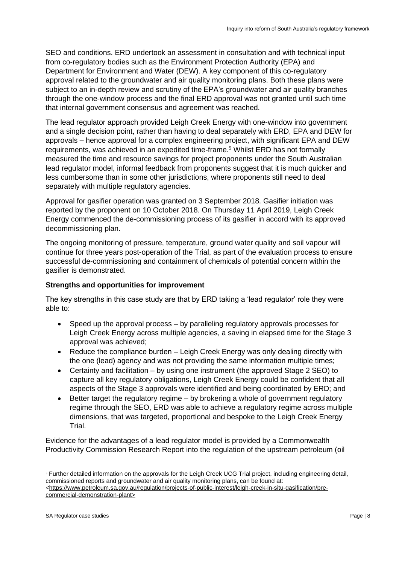SEO and conditions. ERD undertook an assessment in consultation and with technical input from co-regulatory bodies such as the Environment Protection Authority (EPA) and Department for Environment and Water (DEW). A key component of this co-regulatory approval related to the groundwater and air quality monitoring plans. Both these plans were subject to an in-depth review and scrutiny of the EPA's groundwater and air quality branches through the one-window process and the final ERD approval was not granted until such time that internal government consensus and agreement was reached.

The lead regulator approach provided Leigh Creek Energy with one-window into government and a single decision point, rather than having to deal separately with ERD, EPA and DEW for approvals – hence approval for a complex engineering project, with significant EPA and DEW requirements, was achieved in an expedited time-frame.<sup>5</sup> Whilst ERD has not formally measured the time and resource savings for project proponents under the South Australian lead regulator model, informal feedback from proponents suggest that it is much quicker and less cumbersome than in some other jurisdictions, where proponents still need to deal separately with multiple regulatory agencies.

Approval for gasifier operation was granted on 3 September 2018. Gasifier initiation was reported by the proponent on 10 October 2018. On Thursday 11 April 2019, Leigh Creek Energy commenced the de-commissioning process of its gasifier in accord with its approved decommissioning plan.

The ongoing monitoring of pressure, temperature, ground water quality and soil vapour will continue for three years post-operation of the Trial, as part of the evaluation process to ensure successful de-commissioning and containment of chemicals of potential concern within the gasifier is demonstrated.

## **Strengths and opportunities for improvement**

The key strengths in this case study are that by ERD taking a 'lead regulator' role they were able to:

- Speed up the approval process by paralleling regulatory approvals processes for Leigh Creek Energy across multiple agencies, a saving in elapsed time for the Stage 3 approval was achieved;
- Reduce the compliance burden Leigh Creek Energy was only dealing directly with the one (lead) agency and was not providing the same information multiple times;
- Certainty and facilitation by using one instrument (the approved Stage 2 SEO) to capture all key regulatory obligations, Leigh Creek Energy could be confident that all aspects of the Stage 3 approvals were identified and being coordinated by ERD; and
- Better target the regulatory regime by brokering a whole of government regulatory regime through the SEO, ERD was able to achieve a regulatory regime across multiple dimensions, that was targeted, proportional and bespoke to the Leigh Creek Energy Trial.

Evidence for the advantages of a lead regulator model is provided by a Commonwealth Productivity Commission Research Report into the regulation of the upstream petroleum (oil

<sup>5</sup> Further detailed information on the approvals for the Leigh Creek UCG Trial project, including engineering detail, commissioned reports and groundwater and air quality monitoring plans, can be found at: [<https://www.petroleum.sa.gov.au/regulation/projects-of-public-interest/leigh-creek-in-situ-gasification/pre-](https://www.petroleum.sa.gov.au/regulation/projects-of-public-interest/leigh-creek-in-situ-gasification/pre-commercial-demonstration-plant)

[commercial-demonstration-plant>](https://www.petroleum.sa.gov.au/regulation/projects-of-public-interest/leigh-creek-in-situ-gasification/pre-commercial-demonstration-plant)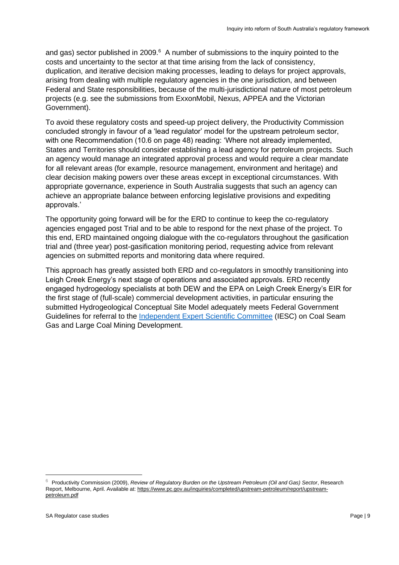and gas) sector published in 2009. $6$  A number of submissions to the inquiry pointed to the costs and uncertainty to the sector at that time arising from the lack of consistency, duplication, and iterative decision making processes, leading to delays for project approvals, arising from dealing with multiple regulatory agencies in the one jurisdiction, and between Federal and State responsibilities, because of the multi-jurisdictional nature of most petroleum projects (e.g. see the submissions from ExxonMobil, Nexus, APPEA and the Victorian Government).

To avoid these regulatory costs and speed-up project delivery, the Productivity Commission concluded strongly in favour of a 'lead regulator' model for the upstream petroleum sector, with one Recommendation (10.6 on page 48) reading: 'Where not already implemented, States and Territories should consider establishing a lead agency for petroleum projects. Such an agency would manage an integrated approval process and would require a clear mandate for all relevant areas (for example, resource management, environment and heritage) and clear decision making powers over these areas except in exceptional circumstances. With appropriate governance, experience in South Australia suggests that such an agency can achieve an appropriate balance between enforcing legislative provisions and expediting approvals.'

The opportunity going forward will be for the ERD to continue to keep the co-regulatory agencies engaged post Trial and to be able to respond for the next phase of the project. To this end, ERD maintained ongoing dialogue with the co-regulators throughout the gasification trial and (three year) post-gasification monitoring period, requesting advice from relevant agencies on submitted reports and monitoring data where required.

This approach has greatly assisted both ERD and co-regulators in smoothly transitioning into Leigh Creek Energy's next stage of operations and associated approvals. ERD recently engaged hydrogeology specialists at both DEW and the EPA on Leigh Creek Energy's EIR for the first stage of (full-scale) commercial development activities, in particular ensuring the submitted Hydrogeological Conceptual Site Model adequately meets Federal Government Guidelines for referral to the [Independent Expert Scientific Committee](https://iesc.environment.gov.au/) (IESC) on Coal Seam Gas and Large Coal Mining Development.

<sup>6</sup> Productivity Commission (2009), *Review of Regulatory Burden on the Upstream Petroleum (Oil and Gas) Sector*, Research Report, Melbourne, April. Available at: [https://www.pc.gov.au/inquiries/completed/upstream-petroleum/report/upstream](https://www.pc.gov.au/inquiries/completed/upstream-petroleum/report/upstream-petroleum.pdf)[petroleum.pdf](https://www.pc.gov.au/inquiries/completed/upstream-petroleum/report/upstream-petroleum.pdf)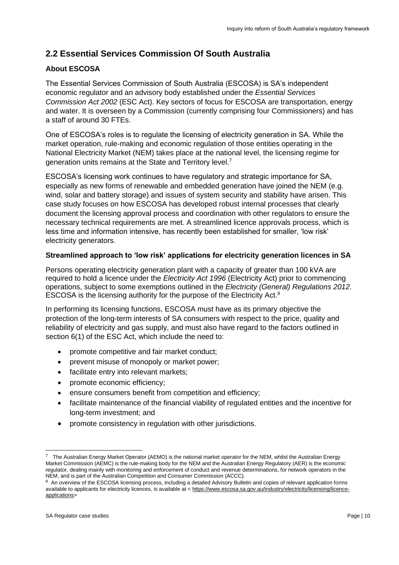# <span id="page-9-0"></span>**2.2 Essential Services Commission Of South Australia**

# **About ESCOSA**

The Essential Services Commission of South Australia (ESCOSA) is SA's independent economic regulator and an advisory body established under the *Essential Services Commission Act 2002* (ESC Act). Key sectors of focus for ESCOSA are transportation, energy and water. It is overseen by a Commission (currently comprising four Commissioners) and has a staff of around 30 FTEs.

One of ESCOSA's roles is to regulate the licensing of electricity generation in SA. While the market operation, rule-making and economic regulation of those entities operating in the National Electricity Market (NEM) takes place at the national level, the licensing regime for generation units remains at the State and Territory level.<sup>7</sup>

ESCOSA's licensing work continues to have regulatory and strategic importance for SA, especially as new forms of renewable and embedded generation have joined the NEM (e.g. wind, solar and battery storage) and issues of system security and stability have arisen. This case study focuses on how ESCOSA has developed robust internal processes that clearly document the licensing approval process and coordination with other regulators to ensure the necessary technical requirements are met. A streamlined licence approvals process, which is less time and information intensive, has recently been established for smaller, 'low risk' electricity generators.

## **Streamlined approach to 'low risk' applications for electricity generation licences in SA**

Persons operating electricity generation plant with a capacity of greater than 100 kVA are required to hold a licence under the *Electricity Act 1996* (Electricity Act) prior to commencing operations, subject to some exemptions outlined in the *Electricity (General) Regulations 2012*. ESCOSA is the licensing authority for the purpose of the Electricity Act.<sup>8</sup>

In performing its licensing functions, ESCOSA must have as its primary objective the protection of the long-term interests of SA consumers with respect to the price, quality and reliability of electricity and gas supply, and must also have regard to the factors outlined in section 6(1) of the ESC Act, which include the need to:

- promote competitive and fair market conduct;
- prevent misuse of monopoly or market power;
- facilitate entry into relevant markets;
- promote economic efficiency;
- ensure consumers benefit from competition and efficiency;
- facilitate maintenance of the financial viability of regulated entities and the incentive for long-term investment; and
- promote consistency in regulation with other jurisdictions.

<sup>7</sup> The Australian Energy Market Operator (AEMO) is the national market operator for the NEM, whilst the Australian Energy Market Commission (AEMC) is the rule-making body for the NEM and the Australian Energy Regulatory (AER) is the economic regulator, dealing mainly with monitoring and enforcement of conduct and revenue determinations, for network operators in the NEM, and is part of the Australian Competition and Consumer Commission (ACCC).

<sup>&</sup>lt;sup>8</sup> An overview of the ESCOSA licensing process, including a detailed Advisory Bulletin and copies of relevant application forms available to applicants for electricity licences, is available at < [https://www.escosa.sa.gov.au/industry/electricity/licensing/licence](https://www.escosa.sa.gov.au/industry/electricity/licensing/licence-applications)[applications>](https://www.escosa.sa.gov.au/industry/electricity/licensing/licence-applications)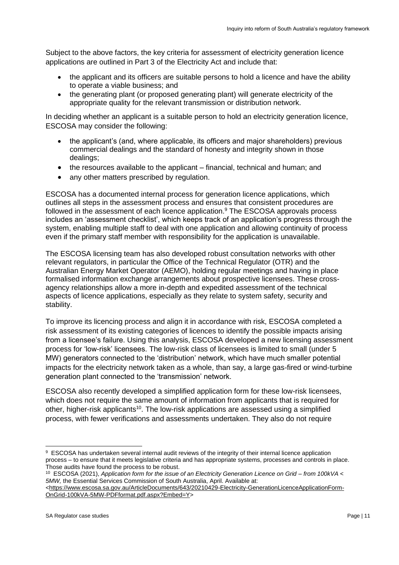Subject to the above factors, the key criteria for assessment of electricity generation licence applications are outlined in Part 3 of the Electricity Act and include that:

- the applicant and its officers are suitable persons to hold a licence and have the ability to operate a viable business; and
- the generating plant (or proposed generating plant) will generate electricity of the appropriate quality for the relevant transmission or distribution network.

In deciding whether an applicant is a suitable person to hold an electricity generation licence, ESCOSA may consider the following:

- the applicant's (and, where applicable, its officers and major shareholders) previous commercial dealings and the standard of honesty and integrity shown in those dealings;
- the resources available to the applicant financial, technical and human; and
- any other matters prescribed by regulation.

ESCOSA has a documented internal process for generation licence applications, which outlines all steps in the assessment process and ensures that consistent procedures are followed in the assessment of each licence application.<sup>9</sup> The ESCOSA approvals process includes an 'assessment checklist', which keeps track of an application's progress through the system, enabling multiple staff to deal with one application and allowing continuity of process even if the primary staff member with responsibility for the application is unavailable.

The ESCOSA licensing team has also developed robust consultation networks with other relevant regulators, in particular the Office of the Technical Regulator (OTR) and the Australian Energy Market Operator (AEMO), holding regular meetings and having in place formalised information exchange arrangements about prospective licensees. These crossagency relationships allow a more in-depth and expedited assessment of the technical aspects of licence applications, especially as they relate to system safety, security and stability.

To improve its licencing process and align it in accordance with risk, ESCOSA completed a risk assessment of its existing categories of licences to identify the possible impacts arising from a licensee's failure. Using this analysis, ESCOSA developed a new licensing assessment process for 'low-risk' licensees. The low-risk class of licensees is limited to small (under 5 MW) generators connected to the 'distribution' network, which have much smaller potential impacts for the electricity network taken as a whole, than say, a large gas-fired or wind-turbine generation plant connected to the 'transmission' network.

ESCOSA also recently developed a simplified application form for these low-risk licensees, which does not require the same amount of information from applicants that is required for other, higher-risk applicants<sup>10</sup>. The low-risk applications are assessed using a simplified process, with fewer verifications and assessments undertaken. They also do not require

<sup>9</sup> ESCOSA has undertaken several internal audit reviews of the integrity of their internal licence application process – to ensure that it meets legislative criteria and has appropriate systems, processes and controls in place. Those audits have found the process to be robust.

<sup>10</sup> ESCOSA (2021), *Application form for the issue of an Electricity Generation Licence on Grid – from 100kVA < 5MW,* the Essential Services Commission of South Australia, April. Available at:

[<sup>&</sup>lt;https://www.escosa.sa.gov.au/ArticleDocuments/643/20210429-Electricity-GenerationLicenceApplicationForm-](https://www.escosa.sa.gov.au/ArticleDocuments/643/20210429-Electricity-GenerationLicenceApplicationForm-OnGrid-100kVA-5MW-PDFformat.pdf.aspx?Embed=Y)[OnGrid-100kVA-5MW-PDFformat.pdf.aspx?Embed=Y>](https://www.escosa.sa.gov.au/ArticleDocuments/643/20210429-Electricity-GenerationLicenceApplicationForm-OnGrid-100kVA-5MW-PDFformat.pdf.aspx?Embed=Y)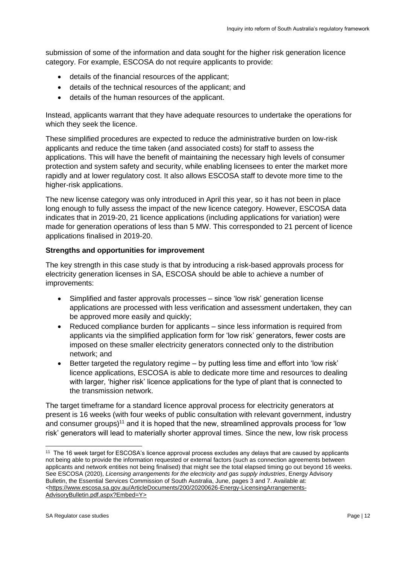submission of some of the information and data sought for the higher risk generation licence category. For example, ESCOSA do not require applicants to provide:

- details of the financial resources of the applicant;
- details of the technical resources of the applicant; and
- details of the human resources of the applicant.

Instead, applicants warrant that they have adequate resources to undertake the operations for which they seek the licence.

These simplified procedures are expected to reduce the administrative burden on low-risk applicants and reduce the time taken (and associated costs) for staff to assess the applications. This will have the benefit of maintaining the necessary high levels of consumer protection and system safety and security, while enabling licensees to enter the market more rapidly and at lower regulatory cost. It also allows ESCOSA staff to devote more time to the higher-risk applications.

The new license category was only introduced in April this year, so it has not been in place long enough to fully assess the impact of the new licence category. However, ESCOSA data indicates that in 2019-20, 21 licence applications (including applications for variation) were made for generation operations of less than 5 MW. This corresponded to 21 percent of licence applications finalised in 2019-20.

#### **Strengths and opportunities for improvement**

The key strength in this case study is that by introducing a risk-based approvals process for electricity generation licenses in SA, ESCOSA should be able to achieve a number of improvements:

- Simplified and faster approvals processes since 'low risk' generation license applications are processed with less verification and assessment undertaken, they can be approved more easily and quickly;
- Reduced compliance burden for applicants since less information is required from applicants via the simplified application form for 'low risk' generators, fewer costs are imposed on these smaller electricity generators connected only to the distribution network; and
- Better targeted the regulatory regime by putting less time and effort into 'low risk' licence applications, ESCOSA is able to dedicate more time and resources to dealing with larger, 'higher risk' licence applications for the type of plant that is connected to the transmission network.

The target timeframe for a standard licence approval process for electricity generators at present is 16 weeks (with four weeks of public consultation with relevant government, industry and consumer groups)<sup>11</sup> and it is hoped that the new, streamlined approvals process for 'low risk' generators will lead to materially shorter approval times. Since the new, low risk process

<sup>&</sup>lt;sup>11</sup> The 16 week target for ESCOSA's licence approval process excludes any delays that are caused by applicants not being able to provide the information requested or external factors (such as connection agreements between applicants and network entities not being finalised) that might see the total elapsed timing go out beyond 16 weeks. See ESCOSA (2020), *Licensing arrangements for the electricity and gas supply industries*, Energy Advisory Bulletin, the Essential Services Commission of South Australia, June, pages 3 and 7. Available at: [<https://www.escosa.sa.gov.au/ArticleDocuments/200/20200626-Energy-LicensingArrangements-](https://www.escosa.sa.gov.au/ArticleDocuments/200/20200626-Energy-LicensingArrangements-AdvisoryBulletin.pdf.aspx?Embed=Y)[AdvisoryBulletin.pdf.aspx?Embed=Y>](https://www.escosa.sa.gov.au/ArticleDocuments/200/20200626-Energy-LicensingArrangements-AdvisoryBulletin.pdf.aspx?Embed=Y)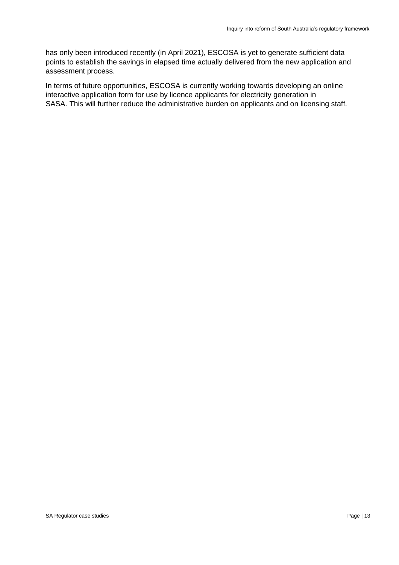has only been introduced recently (in April 2021), ESCOSA is yet to generate sufficient data points to establish the savings in elapsed time actually delivered from the new application and assessment process.

In terms of future opportunities, ESCOSA is currently working towards developing an online interactive application form for use by licence applicants for electricity generation in SASA. This will further reduce the administrative burden on applicants and on licensing staff.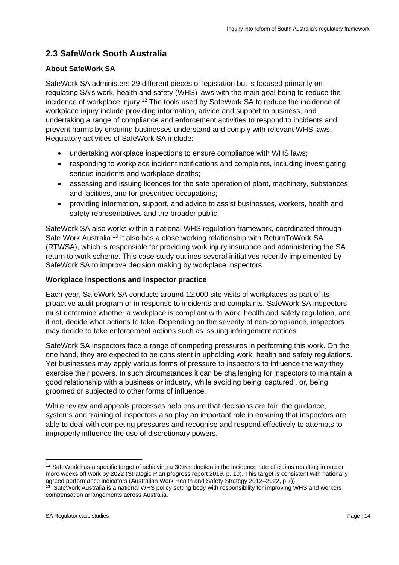# <span id="page-13-0"></span>**2.3 SafeWork South Australia**

## **About SafeWork SA**

SafeWork SA administers 29 different pieces of legislation but is focused primarily on regulating SA's work, health and safety (WHS) laws with the main goal being to reduce the incidence of workplace injury.<sup>12</sup> The tools used by SafeWork SA to reduce the incidence of workplace injury include providing information, advice and support to business, and undertaking a range of compliance and enforcement activities to respond to incidents and prevent harms by ensuring businesses understand and comply with relevant WHS laws. Regulatory activities of SafeWork SA include:

- undertaking workplace inspections to ensure compliance with WHS laws;
- responding to workplace incident notifications and complaints, including investigating serious incidents and workplace deaths;
- assessing and issuing licences for the safe operation of plant, machinery, substances and facilities, and for prescribed occupations;
- providing information, support, and advice to assist businesses, workers, health and safety representatives and the broader public.

SafeWork SA also works within a national WHS regulation framework, coordinated through Safe Work Australia.<sup>13</sup> It also has a close working relationship with ReturnToWork SA (RTWSA), which is responsible for providing work injury insurance and administering the SA return to work scheme. This case study outlines several initiatives recently implemented by SafeWork SA to improve decision making by workplace inspectors.

## **Workplace inspections and inspector practice**

Each year, SafeWork SA conducts around 12,000 site visits of workplaces as part of its proactive audit program or in response to incidents and complaints. SafeWork SA inspectors must determine whether a workplace is compliant with work, health and safety regulation, and if not, decide what actions to take. Depending on the severity of non-compliance, inspectors may decide to take enforcement actions such as issuing infringement notices.

SafeWork SA inspectors face a range of competing pressures in performing this work. On the one hand, they are expected to be consistent in upholding work, health and safety regulations. Yet businesses may apply various forms of pressure to inspectors to influence the way they exercise their powers. In such circumstances it can be challenging for inspectors to maintain a good relationship with a business or industry, while avoiding being 'captured', or, being groomed or subjected to other forms of influence.

While review and appeals processes help ensure that decisions are fair, the guidance, systems and training of inspectors also play an important role in ensuring that inspectors are able to deal with competing pressures and recognise and respond effectively to attempts to improperly influence the use of discretionary powers.

<sup>&</sup>lt;sup>12</sup> SafeWork has a specific target of achieving a 30% reduction in the incidence rate of claims resulting in one or more weeks off work by 2022 [\(Strategic Plan progress report 2019,](https://www.safework.sa.gov.au/__data/assets/pdf_file/0009/361179/Strategic-Plan-Progress-Report-2021.pdf) p. 10). This target is consistent with nationally agreed performance indicators [\(Australian Work Health and Safety Strategy 2012–2022,](https://www.safeworkaustralia.gov.au/system/files/documents/1902/australian-work-health-safety-strategy-2012-2022v2.pdf) p.7)).

<sup>&</sup>lt;sup>13</sup> SafeWork Australia is a national WHS policy setting body with responsibility for improving WHS and workers compensation arrangements across Australia.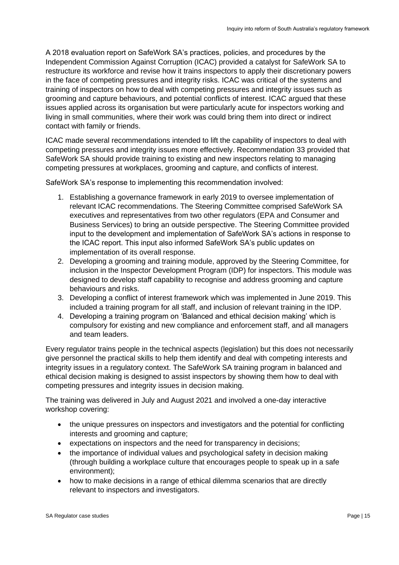A 2018 evaluation report on SafeWork SA's practices, policies, and procedures by the Independent Commission Against Corruption (ICAC) provided a catalyst for SafeWork SA to restructure its workforce and revise how it trains inspectors to apply their discretionary powers in the face of competing pressures and integrity risks. ICAC was critical of the systems and training of inspectors on how to deal with competing pressures and integrity issues such as grooming and capture behaviours, and potential conflicts of interest. ICAC argued that these issues applied across its organisation but were particularly acute for inspectors working and living in small communities, where their work was could bring them into direct or indirect contact with family or friends.

ICAC made several recommendations intended to lift the capability of inspectors to deal with competing pressures and integrity issues more effectively. Recommendation 33 provided that SafeWork SA should provide training to existing and new inspectors relating to managing competing pressures at workplaces, grooming and capture, and conflicts of interest.

SafeWork SA's response to implementing this recommendation involved:

- 1. Establishing a governance framework in early 2019 to oversee implementation of relevant ICAC recommendations. The Steering Committee comprised SafeWork SA executives and representatives from two other regulators (EPA and Consumer and Business Services) to bring an outside perspective. The Steering Committee provided input to the development and implementation of SafeWork SA's actions in response to the ICAC report. This input also informed SafeWork SA's public updates on implementation of its overall response.
- 2. Developing a grooming and training module, approved by the Steering Committee, for inclusion in the Inspector Development Program (IDP) for inspectors. This module was designed to develop staff capability to recognise and address grooming and capture behaviours and risks.
- 3. Developing a conflict of interest framework which was implemented in June 2019. This included a training program for all staff, and inclusion of relevant training in the IDP.
- 4. Developing a training program on 'Balanced and ethical decision making' which is compulsory for existing and new compliance and enforcement staff, and all managers and team leaders.

Every regulator trains people in the technical aspects (legislation) but this does not necessarily give personnel the practical skills to help them identify and deal with competing interests and integrity issues in a regulatory context. The SafeWork SA training program in balanced and ethical decision making is designed to assist inspectors by showing them how to deal with competing pressures and integrity issues in decision making.

The training was delivered in July and August 2021 and involved a one-day interactive workshop covering:

- the unique pressures on inspectors and investigators and the potential for conflicting interests and grooming and capture;
- expectations on inspectors and the need for transparency in decisions;
- the importance of individual values and psychological safety in decision making (through building a workplace culture that encourages people to speak up in a safe environment);
- how to make decisions in a range of ethical dilemma scenarios that are directly relevant to inspectors and investigators.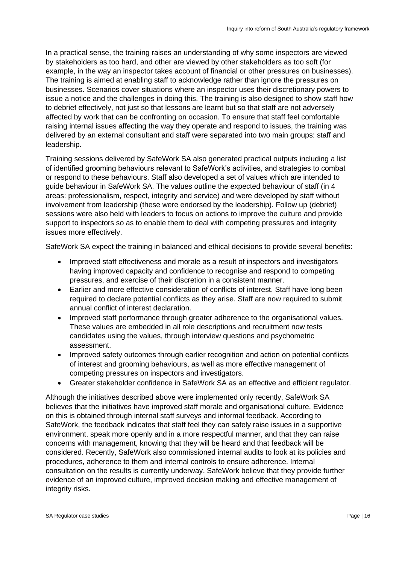In a practical sense, the training raises an understanding of why some inspectors are viewed by stakeholders as too hard, and other are viewed by other stakeholders as too soft (for example, in the way an inspector takes account of financial or other pressures on businesses). The training is aimed at enabling staff to acknowledge rather than ignore the pressures on businesses. Scenarios cover situations where an inspector uses their discretionary powers to issue a notice and the challenges in doing this. The training is also designed to show staff how to debrief effectively, not just so that lessons are learnt but so that staff are not adversely affected by work that can be confronting on occasion. To ensure that staff feel comfortable raising internal issues affecting the way they operate and respond to issues, the training was delivered by an external consultant and staff were separated into two main groups: staff and leadership.

Training sessions delivered by SafeWork SA also generated practical outputs including a list of identified grooming behaviours relevant to SafeWork's activities, and strategies to combat or respond to these behaviours. Staff also developed a set of values which are intended to guide behaviour in SafeWork SA. The values outline the expected behaviour of staff (in 4 areas: professionalism, respect, integrity and service) and were developed by staff without involvement from leadership (these were endorsed by the leadership). Follow up (debrief) sessions were also held with leaders to focus on actions to improve the culture and provide support to inspectors so as to enable them to deal with competing pressures and integrity issues more effectively.

SafeWork SA expect the training in balanced and ethical decisions to provide several benefits:

- Improved staff effectiveness and morale as a result of inspectors and investigators having improved capacity and confidence to recognise and respond to competing pressures, and exercise of their discretion in a consistent manner.
- Earlier and more effective consideration of conflicts of interest. Staff have long been required to declare potential conflicts as they arise. Staff are now required to submit annual conflict of interest declaration.
- Improved staff performance through greater adherence to the organisational values. These values are embedded in all role descriptions and recruitment now tests candidates using the values, through interview questions and psychometric assessment.
- Improved safety outcomes through earlier recognition and action on potential conflicts of interest and grooming behaviours, as well as more effective management of competing pressures on inspectors and investigators.
- Greater stakeholder confidence in SafeWork SA as an effective and efficient regulator.

Although the initiatives described above were implemented only recently, SafeWork SA believes that the initiatives have improved staff morale and organisational culture. Evidence on this is obtained through internal staff surveys and informal feedback. According to SafeWork, the feedback indicates that staff feel they can safely raise issues in a supportive environment, speak more openly and in a more respectful manner, and that they can raise concerns with management, knowing that they will be heard and that feedback will be considered. Recently, SafeWork also commissioned internal audits to look at its policies and procedures, adherence to them and internal controls to ensure adherence. Internal consultation on the results is currently underway, SafeWork believe that they provide further evidence of an improved culture, improved decision making and effective management of integrity risks.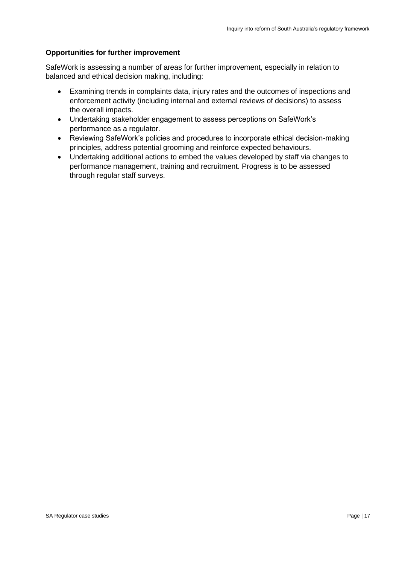### **Opportunities for further improvement**

SafeWork is assessing a number of areas for further improvement, especially in relation to balanced and ethical decision making, including:

- Examining trends in complaints data, injury rates and the outcomes of inspections and enforcement activity (including internal and external reviews of decisions) to assess the overall impacts.
- Undertaking stakeholder engagement to assess perceptions on SafeWork's performance as a regulator.
- Reviewing SafeWork's policies and procedures to incorporate ethical decision-making principles, address potential grooming and reinforce expected behaviours.
- Undertaking additional actions to embed the values developed by staff via changes to performance management, training and recruitment. Progress is to be assessed through regular staff surveys.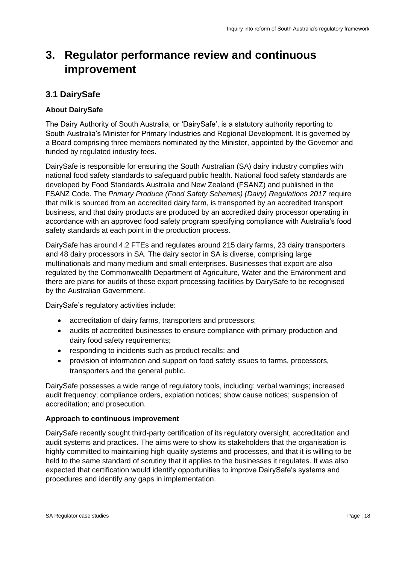# <span id="page-17-0"></span>**3. Regulator performance review and continuous improvement**

# <span id="page-17-1"></span>**3.1 DairySafe**

#### **About DairySafe**

The Dairy Authority of South Australia, or 'DairySafe', is a statutory authority reporting to South Australia's Minister for Primary Industries and Regional Development. It is governed by a Board comprising three members nominated by the Minister, appointed by the Governor and funded by regulated industry fees.

DairySafe is responsible for ensuring the South Australian (SA) dairy industry complies with national food safety standards to safeguard public health. National food safety standards are developed by Food Standards Australia and New Zealand (FSANZ) and published in the FSANZ Code. The *Primary Produce (Food Safety Schemes) (Dairy) Regulations 2017* require that milk is sourced from an accredited dairy farm, is transported by an accredited transport business, and that dairy products are produced by an accredited dairy processor operating in accordance with an approved food safety program specifying compliance with Australia's food safety standards at each point in the production process.

DairySafe has around 4.2 FTEs and regulates around 215 dairy farms, 23 dairy transporters and 48 dairy processors in SA. The dairy sector in SA is diverse, comprising large multinationals and many medium and small enterprises. Businesses that export are also regulated by the Commonwealth Department of Agriculture, Water and the Environment and there are plans for audits of these export processing facilities by DairySafe to be recognised by the Australian Government.

DairySafe's regulatory activities include:

- accreditation of dairy farms, transporters and processors;
- audits of accredited businesses to ensure compliance with primary production and dairy food safety requirements;
- responding to incidents such as product recalls; and
- provision of information and support on food safety issues to farms, processors, transporters and the general public.

DairySafe possesses a wide range of regulatory tools, including: verbal warnings; increased audit frequency; compliance orders, expiation notices; show cause notices; suspension of accreditation; and prosecution.

#### **Approach to continuous improvement**

DairySafe recently sought third-party certification of its regulatory oversight, accreditation and audit systems and practices. The aims were to show its stakeholders that the organisation is highly committed to maintaining high quality systems and processes, and that it is willing to be held to the same standard of scrutiny that it applies to the businesses it regulates. It was also expected that certification would identify opportunities to improve DairySafe's systems and procedures and identify any gaps in implementation.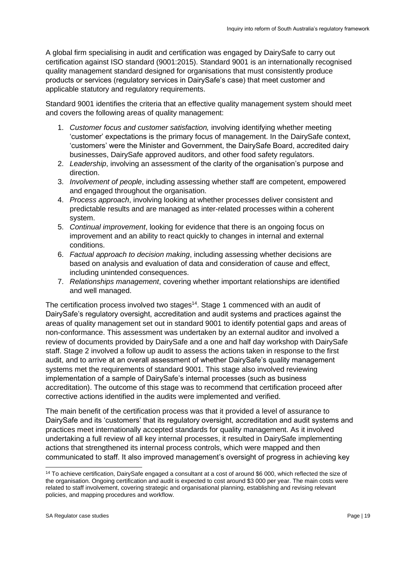A global firm specialising in audit and certification was engaged by DairySafe to carry out certification against ISO standard (9001:2015). Standard 9001 is an internationally recognised quality management standard designed for organisations that must consistently produce products or services (regulatory services in DairySafe's case) that meet customer and applicable statutory and regulatory requirements.

Standard 9001 identifies the criteria that an effective quality management system should meet and covers the following areas of quality management:

- 1. *Customer focus and customer satisfaction,* involving identifying whether meeting 'customer' expectations is the primary focus of management. In the DairySafe context, 'customers' were the Minister and Government, the DairySafe Board, accredited dairy businesses, DairySafe approved auditors, and other food safety regulators.
- 2. *Leadership*, involving an assessment of the clarity of the organisation's purpose and direction.
- 3. *Involvement of people*, including assessing whether staff are competent, empowered and engaged throughout the organisation.
- 4. *Process approach*, involving looking at whether processes deliver consistent and predictable results and are managed as inter-related processes within a coherent system.
- 5. *Continual improvement*, looking for evidence that there is an ongoing focus on improvement and an ability to react quickly to changes in internal and external conditions.
- 6. *Factual approach to decision making*, including assessing whether decisions are based on analysis and evaluation of data and consideration of cause and effect, including unintended consequences.
- 7. *Relationships management*, covering whether important relationships are identified and well managed.

The certification process involved two stages<sup>14</sup>. Stage 1 commenced with an audit of DairySafe's regulatory oversight, accreditation and audit systems and practices against the areas of quality management set out in standard 9001 to identify potential gaps and areas of non-conformance. This assessment was undertaken by an external auditor and involved a review of documents provided by DairySafe and a one and half day workshop with DairySafe staff. Stage 2 involved a follow up audit to assess the actions taken in response to the first audit, and to arrive at an overall assessment of whether DairySafe's quality management systems met the requirements of standard 9001. This stage also involved reviewing implementation of a sample of DairySafe's internal processes (such as business accreditation). The outcome of this stage was to recommend that certification proceed after corrective actions identified in the audits were implemented and verified.

The main benefit of the certification process was that it provided a level of assurance to DairySafe and its 'customers' that its regulatory oversight, accreditation and audit systems and practices meet internationally accepted standards for quality management. As it involved undertaking a full review of all key internal processes, it resulted in DairySafe implementing actions that strengthened its internal process controls, which were mapped and then communicated to staff. It also improved management's oversight of progress in achieving key

<sup>&</sup>lt;sup>14</sup> To achieve certification, DairySafe engaged a consultant at a cost of around \$6 000, which reflected the size of the organisation. Ongoing certification and audit is expected to cost around \$3 000 per year. The main costs were related to staff involvement, covering strategic and organisational planning, establishing and revising relevant policies, and mapping procedures and workflow.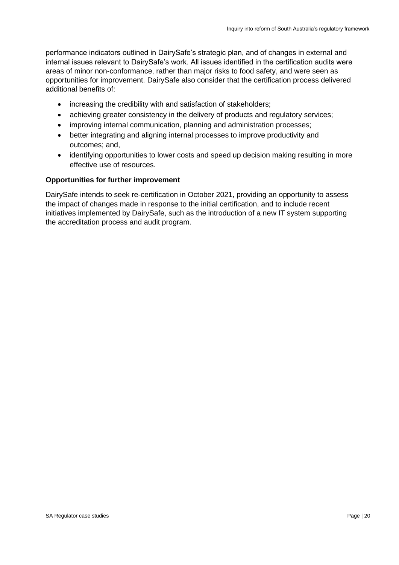performance indicators outlined in DairySafe's strategic plan, and of changes in external and internal issues relevant to DairySafe's work. All issues identified in the certification audits were areas of minor non-conformance, rather than major risks to food safety, and were seen as opportunities for improvement. DairySafe also consider that the certification process delivered additional benefits of:

- increasing the credibility with and satisfaction of stakeholders;
- achieving greater consistency in the delivery of products and regulatory services;
- improving internal communication, planning and administration processes;
- better integrating and aligning internal processes to improve productivity and outcomes; and,
- identifying opportunities to lower costs and speed up decision making resulting in more effective use of resources.

#### **Opportunities for further improvement**

DairySafe intends to seek re-certification in October 2021, providing an opportunity to assess the impact of changes made in response to the initial certification, and to include recent initiatives implemented by DairySafe, such as the introduction of a new IT system supporting the accreditation process and audit program.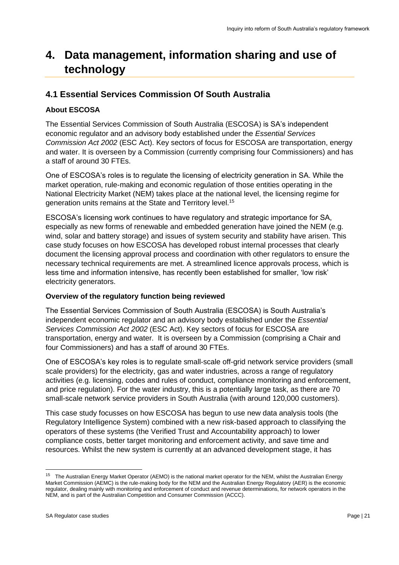# <span id="page-20-0"></span>**4. Data management, information sharing and use of technology**

# <span id="page-20-1"></span>**4.1 Essential Services Commission Of South Australia**

# **About ESCOSA**

The Essential Services Commission of South Australia (ESCOSA) is SA's independent economic regulator and an advisory body established under the *Essential Services Commission Act 2002* (ESC Act). Key sectors of focus for ESCOSA are transportation, energy and water. It is overseen by a Commission (currently comprising four Commissioners) and has a staff of around 30 FTEs.

One of ESCOSA's roles is to regulate the licensing of electricity generation in SA. While the market operation, rule-making and economic regulation of those entities operating in the National Electricity Market (NEM) takes place at the national level, the licensing regime for generation units remains at the State and Territory level.<sup>15</sup>

ESCOSA's licensing work continues to have regulatory and strategic importance for SA, especially as new forms of renewable and embedded generation have joined the NEM (e.g. wind, solar and battery storage) and issues of system security and stability have arisen. This case study focuses on how ESCOSA has developed robust internal processes that clearly document the licensing approval process and coordination with other regulators to ensure the necessary technical requirements are met. A streamlined licence approvals process, which is less time and information intensive, has recently been established for smaller, 'low risk' electricity generators.

# **Overview of the regulatory function being reviewed**

The Essential Services Commission of South Australia (ESCOSA) is South Australia's independent economic regulator and an advisory body established under the *Essential Services Commission Act 2002* (ESC Act). Key sectors of focus for ESCOSA are transportation, energy and water. It is overseen by a Commission (comprising a Chair and four Commissioners) and has a staff of around 30 FTEs.

One of ESCOSA's key roles is to regulate small-scale off-grid network service providers (small scale providers) for the electricity, gas and water industries, across a range of regulatory activities (e.g. licensing, codes and rules of conduct, compliance monitoring and enforcement, and price regulation). For the water industry, this is a potentially large task, as there are 70 small-scale network service providers in South Australia (with around 120,000 customers).

This case study focusses on how ESCOSA has begun to use new data analysis tools (the Regulatory Intelligence System) combined with a new risk-based approach to classifying the operators of these systems (the Verified Trust and Accountability approach) to lower compliance costs, better target monitoring and enforcement activity, and save time and resources. Whilst the new system is currently at an advanced development stage, it has

<sup>&</sup>lt;sup>15</sup> The Australian Energy Market Operator (AEMO) is the national market operator for the NEM, whilst the Australian Energy Market Commission (AEMC) is the rule-making body for the NEM and the Australian Energy Regulatory (AER) is the economic regulator, dealing mainly with monitoring and enforcement of conduct and revenue determinations, for network operators in the NEM, and is part of the Australian Competition and Consumer Commission (ACCC).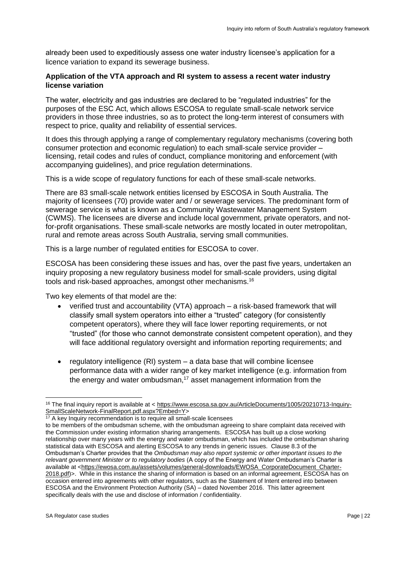already been used to expeditiously assess one water industry licensee's application for a licence variation to expand its sewerage business.

#### **Application of the VTA approach and RI system to assess a recent water industry license variation**

The water, electricity and gas industries are declared to be "regulated industries" for the purposes of the ESC Act, which allows ESCOSA to regulate small-scale network service providers in those three industries, so as to protect the long-term interest of consumers with respect to price, quality and reliability of essential services.

It does this through applying a range of complementary regulatory mechanisms (covering both consumer protection and economic regulation) to each small-scale service provider – licensing, retail codes and rules of conduct, compliance monitoring and enforcement (with accompanying guidelines), and price regulation determinations.

This is a wide scope of regulatory functions for each of these small-scale networks.

There are 83 small-scale network entities licensed by ESCOSA in South Australia. The majority of licensees (70) provide water and / or sewerage services. The predominant form of sewerage service is what is known as a Community Wastewater Management System (CWMS). The licensees are diverse and include local government, private operators, and notfor-profit organisations. These small-scale networks are mostly located in outer metropolitan, rural and remote areas across South Australia, serving small communities.

This is a large number of regulated entities for ESCOSA to cover.

ESCOSA has been considering these issues and has, over the past five years, undertaken an inquiry proposing a new regulatory business model for small-scale providers, using digital tools and risk-based approaches, amongst other mechanisms.<sup>16</sup>

Two key elements of that model are the:

- verified trust and accountability (VTA) approach a risk-based framework that will classify small system operators into either a "trusted" category (for consistently competent operators), where they will face lower reporting requirements, or not "trusted" (for those who cannot demonstrate consistent competent operation), and they will face additional regulatory oversight and information reporting requirements; and
- regulatory intelligence (RI) system a data base that will combine licensee performance data with a wider range of key market intelligence (e.g. information from the energy and water ombudsman, $17$  asset management information from the

<sup>16</sup> The final inquiry report is available at < [https://www.escosa.sa.gov.au/ArticleDocuments/1005/20210713-Inquiry-](https://www.escosa.sa.gov.au/ArticleDocuments/1005/20210713-Inquiry-SmallScaleNetwork-FinalReport.pdf.aspx?Embed=Y)[SmallScaleNetwork-FinalReport.pdf.aspx?Embed=Y>](https://www.escosa.sa.gov.au/ArticleDocuments/1005/20210713-Inquiry-SmallScaleNetwork-FinalReport.pdf.aspx?Embed=Y)

<sup>&</sup>lt;sup>17</sup> A key Inquiry recommendation is to require all small-scale licensees

to be members of the ombudsman scheme, with the ombudsman agreeing to share complaint data received with the Commission under existing information sharing arrangements. ESCOSA has built up a close working relationship over many years with the energy and water ombudsman, which has included the ombudsman sharing statistical data with ESCOSA and alerting ESCOSA to any trends in generic issues. Clause 8.3 of the Ombudsman's Charter provides that the *Ombudsman may also report systemic or other important issues to the relevant government Minister or to regulatory bodies* (A copy of the Energy and Water Ombudsman's Charter is available at [<https://ewosa.com.au/assets/volumes/general-downloads/EWOSA\\_CorporateDocument\\_Charter-](https://ewosa.com.au/assets/volumes/general-downloads/EWOSA_CorporateDocument_Charter-2018.pdf)[2018.pdf\)](https://ewosa.com.au/assets/volumes/general-downloads/EWOSA_CorporateDocument_Charter-2018.pdf)>. While in this instance the sharing of information is based on an informal agreement, ESCOSA has on occasion entered into agreements with other regulators, such as the Statement of Intent entered into between ESCOSA and the Environment Protection Authority (SA) – dated November 2016. This latter agreement specifically deals with the use and disclose of information / confidentiality.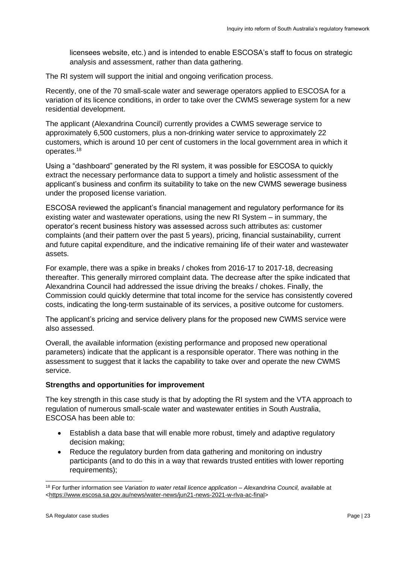licensees website, etc.) and is intended to enable ESCOSA's staff to focus on strategic analysis and assessment, rather than data gathering.

The RI system will support the initial and ongoing verification process.

Recently, one of the 70 small-scale water and sewerage operators applied to ESCOSA for a variation of its licence conditions, in order to take over the CWMS sewerage system for a new residential development.

The applicant (Alexandrina Council) currently provides a CWMS sewerage service to approximately 6,500 customers, plus a non-drinking water service to approximately 22 customers, which is around 10 per cent of customers in the local government area in which it operates.<sup>18</sup>

Using a "dashboard" generated by the RI system, it was possible for ESCOSA to quickly extract the necessary performance data to support a timely and holistic assessment of the applicant's business and confirm its suitability to take on the new CWMS sewerage business under the proposed license variation.

ESCOSA reviewed the applicant's financial management and regulatory performance for its existing water and wastewater operations, using the new RI System – in summary, the operator's recent business history was assessed across such attributes as: customer complaints (and their pattern over the past 5 years), pricing, financial sustainability, current and future capital expenditure, and the indicative remaining life of their water and wastewater assets.

For example, there was a spike in breaks / chokes from 2016-17 to 2017-18, decreasing thereafter. This generally mirrored complaint data. The decrease after the spike indicated that Alexandrina Council had addressed the issue driving the breaks / chokes. Finally, the Commission could quickly determine that total income for the service has consistently covered costs, indicating the long-term sustainable of its services, a positive outcome for customers.

The applicant's pricing and service delivery plans for the proposed new CWMS service were also assessed.

Overall, the available information (existing performance and proposed new operational parameters) indicate that the applicant is a responsible operator. There was nothing in the assessment to suggest that it lacks the capability to take over and operate the new CWMS service.

#### **Strengths and opportunities for improvement**

The key strength in this case study is that by adopting the RI system and the VTA approach to regulation of numerous small-scale water and wastewater entities in South Australia, ESCOSA has been able to:

- Establish a data base that will enable more robust, timely and adaptive regulatory decision making;
- Reduce the regulatory burden from data gathering and monitoring on industry participants (and to do this in a way that rewards trusted entities with lower reporting requirements);

<sup>18</sup> For further information see *Variation to water retail licence application – Alexandrina Council,* available at [<https://www.escosa.sa.gov.au/news/water-news/jun21-news-2021-w-rlva-ac-final>](https://www.escosa.sa.gov.au/news/water-news/jun21-news-2021-w-rlva-ac-final)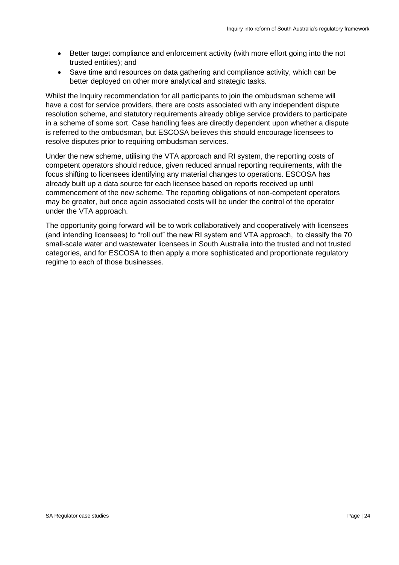- Better target compliance and enforcement activity (with more effort going into the not trusted entities); and
- Save time and resources on data gathering and compliance activity, which can be better deployed on other more analytical and strategic tasks.

Whilst the Inquiry recommendation for all participants to join the ombudsman scheme will have a cost for service providers, there are costs associated with any independent dispute resolution scheme, and statutory requirements already oblige service providers to participate in a scheme of some sort. Case handling fees are directly dependent upon whether a dispute is referred to the ombudsman, but ESCOSA believes this should encourage licensees to resolve disputes prior to requiring ombudsman services.

Under the new scheme, utilising the VTA approach and RI system, the reporting costs of competent operators should reduce, given reduced annual reporting requirements, with the focus shifting to licensees identifying any material changes to operations. ESCOSA has already built up a data source for each licensee based on reports received up until commencement of the new scheme. The reporting obligations of non-competent operators may be greater, but once again associated costs will be under the control of the operator under the VTA approach.

The opportunity going forward will be to work collaboratively and cooperatively with licensees (and intending licensees) to "roll out" the new RI system and VTA approach, to classify the 70 small-scale water and wastewater licensees in South Australia into the trusted and not trusted categories, and for ESCOSA to then apply a more sophisticated and proportionate regulatory regime to each of those businesses.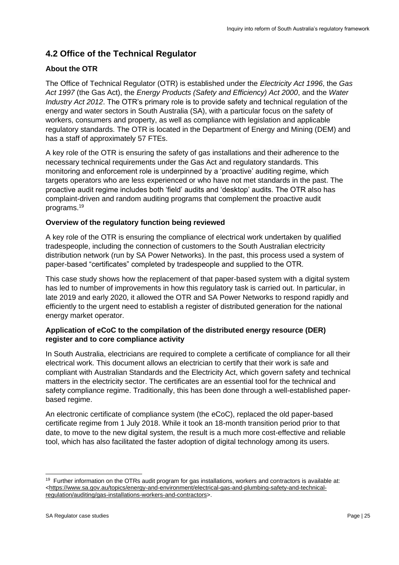# <span id="page-24-0"></span>**4.2 Office of the Technical Regulator**

# **About the OTR**

The Office of Technical Regulator (OTR) is established under the *Electricity Act 1996*, the *Gas Act 1997* (the Gas Act), the *Energy Products (Safety and Efficiency) Act 2000*, and the *Water Industry Act 2012*. The OTR's primary role is to provide safety and technical regulation of the energy and water sectors in South Australia (SA), with a particular focus on the safety of workers, consumers and property, as well as compliance with legislation and applicable regulatory standards. The OTR is located in the Department of Energy and Mining (DEM) and has a staff of approximately 57 FTEs.

A key role of the OTR is ensuring the safety of gas installations and their adherence to the necessary technical requirements under the Gas Act and regulatory standards. This monitoring and enforcement role is underpinned by a 'proactive' auditing regime, which targets operators who are less experienced or who have not met standards in the past. The proactive audit regime includes both 'field' audits and 'desktop' audits. The OTR also has complaint-driven and random auditing programs that complement the proactive audit programs.<sup>19</sup>

## **Overview of the regulatory function being reviewed**

A key role of the OTR is ensuring the compliance of electrical work undertaken by qualified tradespeople, including the connection of customers to the South Australian electricity distribution network (run by SA Power Networks). In the past, this process used a system of paper-based "certificates" completed by tradespeople and supplied to the OTR.

This case study shows how the replacement of that paper-based system with a digital system has led to number of improvements in how this regulatory task is carried out. In particular, in late 2019 and early 2020, it allowed the OTR and SA Power Networks to respond rapidly and efficiently to the urgent need to establish a register of distributed generation for the national energy market operator.

## **Application of eCoC to the compilation of the distributed energy resource (DER) register and to core compliance activity**

In South Australia, electricians are required to complete a certificate of compliance for all their electrical work. This document allows an electrician to certify that their work is safe and compliant with Australian Standards and the Electricity Act, which govern safety and technical matters in the electricity sector. The certificates are an essential tool for the technical and safety compliance regime. Traditionally, this has been done through a well-established paperbased regime.

An electronic certificate of compliance system (the eCoC), replaced the old paper-based certificate regime from 1 July 2018. While it took an 18-month transition period prior to that date, to move to the new digital system, the result is a much more cost-effective and reliable tool, which has also facilitated the faster adoption of digital technology among its users.

<sup>&</sup>lt;sup>19</sup> Further information on the OTRs audit program for gas installations, workers and contractors is available at: [<https://www.sa.gov.au/topics/energy-and-environment/electrical-gas-and-plumbing-safety-and-technical](https://www.sa.gov.au/topics/energy-and-environment/electrical-gas-and-plumbing-safety-and-technical-regulation/auditing/gas-installations-workers-and-contractors)[regulation/auditing/gas-installations-workers-and-contractors>](https://www.sa.gov.au/topics/energy-and-environment/electrical-gas-and-plumbing-safety-and-technical-regulation/auditing/gas-installations-workers-and-contractors).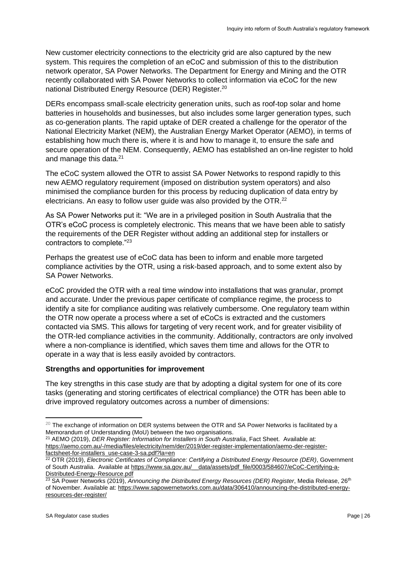New customer electricity connections to the electricity grid are also captured by the new system. This requires the completion of an eCoC and submission of this to the distribution network operator, SA Power Networks. The Department for Energy and Mining and the OTR recently collaborated with SA Power Networks to collect information via eCoC for the new national Distributed Energy Resource (DER) Register.<sup>20</sup>

DERs encompass small-scale electricity generation units, such as roof-top solar and home batteries in households and businesses, but also includes some larger generation types, such as co-generation plants. The rapid uptake of DER created a challenge for the operator of the National Electricity Market (NEM), the Australian Energy Market Operator (AEMO), in terms of establishing how much there is, where it is and how to manage it, to ensure the safe and secure operation of the NEM. Consequently, AEMO has established an on-line register to hold and manage this data.<sup>21</sup>

The eCoC system allowed the OTR to assist SA Power Networks to respond rapidly to this new AEMO regulatory requirement (imposed on distribution system operators) and also minimised the compliance burden for this process by reducing duplication of data entry by electricians. An easy to follow user guide was also provided by the OTR.<sup>22</sup>

As SA Power Networks put it: "We are in a privileged position in South Australia that the OTR's eCoC process is completely electronic. This means that we have been able to satisfy the requirements of the DER Register without adding an additional step for installers or contractors to complete."<sup>23</sup>

Perhaps the greatest use of eCoC data has been to inform and enable more targeted compliance activities by the OTR, using a risk-based approach, and to some extent also by SA Power Networks.

eCoC provided the OTR with a real time window into installations that was granular, prompt and accurate. Under the previous paper certificate of compliance regime, the process to identify a site for compliance auditing was relatively cumbersome. One regulatory team within the OTR now operate a process where a set of eCoCs is extracted and the customers contacted via SMS. This allows for targeting of very recent work, and for greater visibility of the OTR-led compliance activities in the community. Additionally, contractors are only involved where a non-compliance is identified, which saves them time and allows for the OTR to operate in a way that is less easily avoided by contractors.

## **Strengths and opportunities for improvement**

The key strengths in this case study are that by adopting a digital system for one of its core tasks (generating and storing certificates of electrical compliance) the OTR has been able to drive improved regulatory outcomes across a number of dimensions:

<sup>&</sup>lt;sup>20</sup> The exchange of information on DER systems between the OTR and SA Power Networks is facilitated by a Memorandum of Understanding (MoU) between the two organisations.

<sup>21</sup> AEMO (2019), *DER Register: Information for Installers in South Australia*, Fact Sheet. Available at: [https://aemo.com.au/-/media/files/electricity/nem/der/2019/der-register-implementation/aemo-der-register](https://aemo.com.au/-/media/files/electricity/nem/der/2019/der-register-implementation/aemo-der-register-factsheet-for-installers_use-case-3-sa.pdf?la=en)[factsheet-for-installers\\_use-case-3-sa.pdf?la=en](https://aemo.com.au/-/media/files/electricity/nem/der/2019/der-register-implementation/aemo-der-register-factsheet-for-installers_use-case-3-sa.pdf?la=en)

<sup>22</sup> OTR (2019), *Electronic Certificates of Compliance: Certifying a Distributed Energy Resource (DER)*, Government of South Australia. Available a[t https://www.sa.gov.au/\\_\\_data/assets/pdf\\_file/0003/584607/eCoC-Certifying-a-](https://www.sa.gov.au/__data/assets/pdf_file/0003/584607/eCoC-Certifying-a-Distributed-Energy-Resource.pdf)[Distributed-Energy-Resource.pdf](https://www.sa.gov.au/__data/assets/pdf_file/0003/584607/eCoC-Certifying-a-Distributed-Energy-Resource.pdf)

<sup>&</sup>lt;sup>23</sup> SA Power Networks (2019), *Announcing the Distributed Energy Resources (DER) Register*, Media Release, 26<sup>th</sup> of November. Available at: [https://www.sapowernetworks.com.au/data/306410/announcing-the-distributed-energy](https://www.sapowernetworks.com.au/data/306410/announcing-the-distributed-energy-resources-der-register/)[resources-der-register/](https://www.sapowernetworks.com.au/data/306410/announcing-the-distributed-energy-resources-der-register/)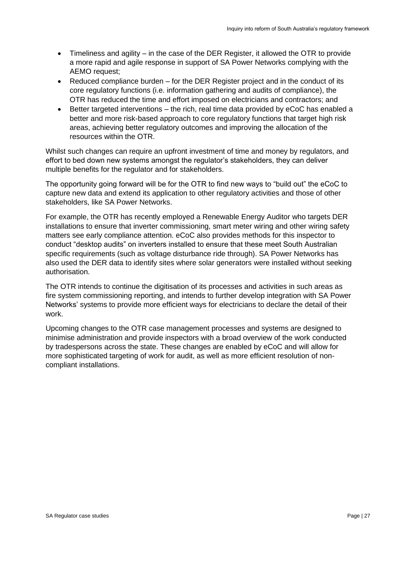- Timeliness and agility in the case of the DER Register, it allowed the OTR to provide a more rapid and agile response in support of SA Power Networks complying with the AEMO request;
- Reduced compliance burden for the DER Register project and in the conduct of its core regulatory functions (i.e. information gathering and audits of compliance), the OTR has reduced the time and effort imposed on electricians and contractors; and
- Better targeted interventions the rich, real time data provided by eCoC has enabled a better and more risk-based approach to core regulatory functions that target high risk areas, achieving better regulatory outcomes and improving the allocation of the resources within the OTR.

Whilst such changes can require an upfront investment of time and money by regulators, and effort to bed down new systems amongst the regulator's stakeholders, they can deliver multiple benefits for the regulator and for stakeholders.

The opportunity going forward will be for the OTR to find new ways to "build out" the eCoC to capture new data and extend its application to other regulatory activities and those of other stakeholders, like SA Power Networks.

For example, the OTR has recently employed a Renewable Energy Auditor who targets DER installations to ensure that inverter commissioning, smart meter wiring and other wiring safety matters see early compliance attention. eCoC also provides methods for this inspector to conduct "desktop audits" on inverters installed to ensure that these meet South Australian specific requirements (such as voltage disturbance ride through). SA Power Networks has also used the DER data to identify sites where solar generators were installed without seeking authorisation.

The OTR intends to continue the digitisation of its processes and activities in such areas as fire system commissioning reporting, and intends to further develop integration with SA Power Networks' systems to provide more efficient ways for electricians to declare the detail of their work.

Upcoming changes to the OTR case management processes and systems are designed to minimise administration and provide inspectors with a broad overview of the work conducted by tradespersons across the state. These changes are enabled by eCoC and will allow for more sophisticated targeting of work for audit, as well as more efficient resolution of noncompliant installations.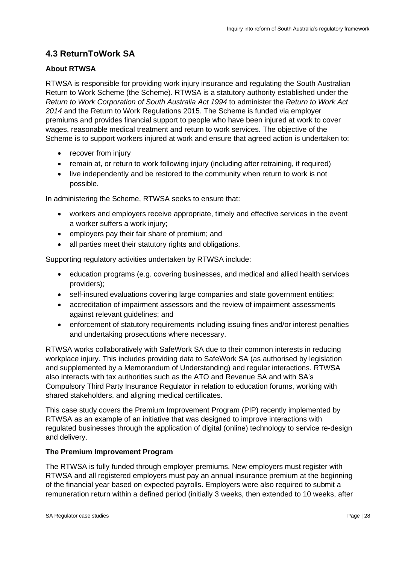# <span id="page-27-0"></span>**4.3 ReturnToWork SA**

# **About RTWSA**

RTWSA is responsible for providing work injury insurance and regulating the South Australian Return to Work Scheme (the Scheme). RTWSA is a statutory authority established under the *Return to Work Corporation of South Australia Act 1994* to administer the *Return to Work Act 2014* and the Return to Work Regulations 2015. The Scheme is funded via employer premiums and provides financial support to people who have been injured at work to cover wages, reasonable medical treatment and return to work services. The objective of the Scheme is to support workers injured at work and ensure that agreed action is undertaken to:

- recover from injury
- remain at, or return to work following injury (including after retraining, if required)
- live independently and be restored to the community when return to work is not possible.

In administering the Scheme, RTWSA seeks to ensure that:

- workers and employers receive appropriate, timely and effective services in the event a worker suffers a work injury;
- employers pay their fair share of premium; and
- all parties meet their statutory rights and obligations.

Supporting regulatory activities undertaken by RTWSA include:

- education programs (e.g. covering businesses, and medical and allied health services providers);
- self-insured evaluations covering large companies and state government entities;
- accreditation of impairment assessors and the review of impairment assessments against relevant guidelines; and
- enforcement of statutory requirements including issuing fines and/or interest penalties and undertaking prosecutions where necessary.

RTWSA works collaboratively with SafeWork SA due to their common interests in reducing workplace injury. This includes providing data to SafeWork SA (as authorised by legislation and supplemented by a Memorandum of Understanding) and regular interactions. RTWSA also interacts with tax authorities such as the ATO and Revenue SA and with SA's Compulsory Third Party Insurance Regulator in relation to education forums, working with shared stakeholders, and aligning medical certificates.

This case study covers the Premium Improvement Program (PIP) recently implemented by RTWSA as an example of an initiative that was designed to improve interactions with regulated businesses through the application of digital (online) technology to service re-design and delivery.

#### **The Premium Improvement Program**

The RTWSA is fully funded through employer premiums. New employers must register with RTWSA and all registered employers must pay an annual insurance premium at the beginning of the financial year based on expected payrolls. Employers were also required to submit a remuneration return within a defined period (initially 3 weeks, then extended to 10 weeks, after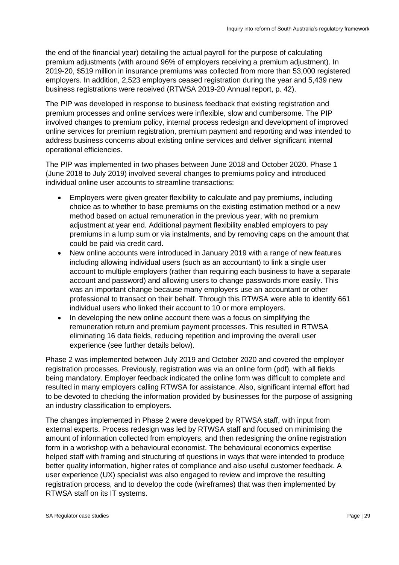the end of the financial year) detailing the actual payroll for the purpose of calculating premium adjustments (with around 96% of employers receiving a premium adjustment). In 2019-20, \$519 million in insurance premiums was collected from more than 53,000 registered employers. In addition, 2,523 employers ceased registration during the year and 5,439 new business registrations were received (RTWSA 2019-20 Annual report, p. 42).

The PIP was developed in response to business feedback that existing registration and premium processes and online services were inflexible, slow and cumbersome. The PIP involved changes to premium policy, internal process redesign and development of improved online services for premium registration, premium payment and reporting and was intended to address business concerns about existing online services and deliver significant internal operational efficiencies.

The PIP was implemented in two phases between June 2018 and October 2020. Phase 1 (June 2018 to July 2019) involved several changes to premiums policy and introduced individual online user accounts to streamline transactions:

- Employers were given greater flexibility to calculate and pay premiums, including choice as to whether to base premiums on the existing estimation method or a new method based on actual remuneration in the previous year, with no premium adjustment at year end. Additional payment flexibility enabled employers to pay premiums in a lump sum or via instalments, and by removing caps on the amount that could be paid via credit card.
- New online accounts were introduced in January 2019 with a range of new features including allowing individual users (such as an accountant) to link a single user account to multiple employers (rather than requiring each business to have a separate account and password) and allowing users to change passwords more easily. This was an important change because many employers use an accountant or other professional to transact on their behalf. Through this RTWSA were able to identify 661 individual users who linked their account to 10 or more employers.
- In developing the new online account there was a focus on simplifying the remuneration return and premium payment processes. This resulted in RTWSA eliminating 16 data fields, reducing repetition and improving the overall user experience (see further details below).

Phase 2 was implemented between July 2019 and October 2020 and covered the employer registration processes. Previously, registration was via an online form (pdf), with all fields being mandatory. Employer feedback indicated the online form was difficult to complete and resulted in many employers calling RTWSA for assistance. Also, significant internal effort had to be devoted to checking the information provided by businesses for the purpose of assigning an industry classification to employers.

The changes implemented in Phase 2 were developed by RTWSA staff, with input from external experts. Process redesign was led by RTWSA staff and focused on minimising the amount of information collected from employers, and then redesigning the online registration form in a workshop with a behavioural economist. The behavioural economics expertise helped staff with framing and structuring of questions in ways that were intended to produce better quality information, higher rates of compliance and also useful customer feedback. A user experience (UX) specialist was also engaged to review and improve the resulting registration process, and to develop the code (wireframes) that was then implemented by RTWSA staff on its IT systems.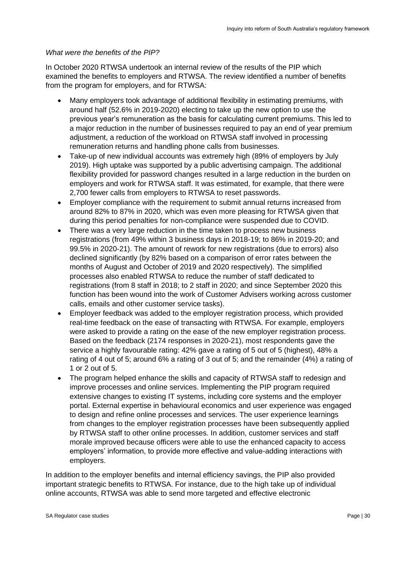#### *What were the benefits of the PIP?*

In October 2020 RTWSA undertook an internal review of the results of the PIP which examined the benefits to employers and RTWSA. The review identified a number of benefits from the program for employers, and for RTWSA:

- Many employers took advantage of additional flexibility in estimating premiums, with around half (52.6% in 2019-2020) electing to take up the new option to use the previous year's remuneration as the basis for calculating current premiums. This led to a major reduction in the number of businesses required to pay an end of year premium adjustment, a reduction of the workload on RTWSA staff involved in processing remuneration returns and handling phone calls from businesses.
- Take-up of new individual accounts was extremely high (89% of employers by July 2019). High uptake was supported by a public advertising campaign. The additional flexibility provided for password changes resulted in a large reduction in the burden on employers and work for RTWSA staff. It was estimated, for example, that there were 2,700 fewer calls from employers to RTWSA to reset passwords.
- Employer compliance with the requirement to submit annual returns increased from around 82% to 87% in 2020, which was even more pleasing for RTWSA given that during this period penalties for non-compliance were suspended due to COVID.
- There was a very large reduction in the time taken to process new business registrations (from 49% within 3 business days in 2018-19; to 86% in 2019-20; and 99.5% in 2020-21). The amount of rework for new registrations (due to errors) also declined significantly (by 82% based on a comparison of error rates between the months of August and October of 2019 and 2020 respectively). The simplified processes also enabled RTWSA to reduce the number of staff dedicated to registrations (from 8 staff in 2018; to 2 staff in 2020; and since September 2020 this function has been wound into the work of Customer Advisers working across customer calls, emails and other customer service tasks).
- Employer feedback was added to the employer registration process, which provided real-time feedback on the ease of transacting with RTWSA. For example, employers were asked to provide a rating on the ease of the new employer registration process. Based on the feedback (2174 responses in 2020-21), most respondents gave the service a highly favourable rating: 42% gave a rating of 5 out of 5 (highest), 48% a rating of 4 out of 5; around 6% a rating of 3 out of 5; and the remainder (4%) a rating of 1 or 2 out of 5.
- The program helped enhance the skills and capacity of RTWSA staff to redesign and improve processes and online services. Implementing the PIP program required extensive changes to existing IT systems, including core systems and the employer portal. External expertise in behavioural economics and user experience was engaged to design and refine online processes and services. The user experience learnings from changes to the employer registration processes have been subsequently applied by RTWSA staff to other online processes. In addition, customer services and staff morale improved because officers were able to use the enhanced capacity to access employers' information, to provide more effective and value-adding interactions with employers.

In addition to the employer benefits and internal efficiency savings, the PIP also provided important strategic benefits to RTWSA. For instance, due to the high take up of individual online accounts, RTWSA was able to send more targeted and effective electronic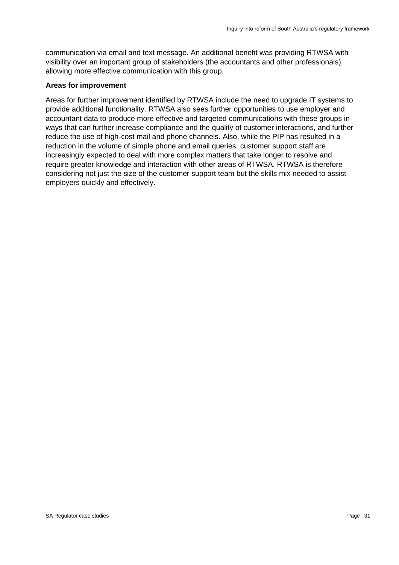communication via email and text message. An additional benefit was providing RTWSA with visibility over an important group of stakeholders (the accountants and other professionals), allowing more effective communication with this group.

#### **Areas for improvement**

Areas for further improvement identified by RTWSA include the need to upgrade IT systems to provide additional functionality. RTWSA also sees further opportunities to use employer and accountant data to produce more effective and targeted communications with these groups in ways that can further increase compliance and the quality of customer interactions, and further reduce the use of high-cost mail and phone channels. Also, while the PIP has resulted in a reduction in the volume of simple phone and email queries, customer support staff are increasingly expected to deal with more complex matters that take longer to resolve and require greater knowledge and interaction with other areas of RTWSA. RTWSA is therefore considering not just the size of the customer support team but the skills mix needed to assist employers quickly and effectively.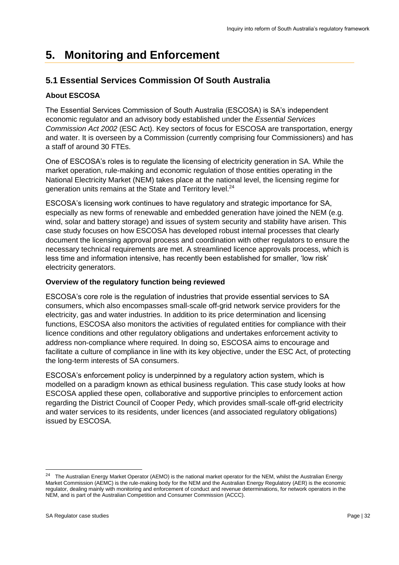# <span id="page-31-0"></span>**5. Monitoring and Enforcement**

# <span id="page-31-1"></span>**5.1 Essential Services Commission Of South Australia**

# **About ESCOSA**

The Essential Services Commission of South Australia (ESCOSA) is SA's independent economic regulator and an advisory body established under the *Essential Services Commission Act 2002* (ESC Act). Key sectors of focus for ESCOSA are transportation, energy and water. It is overseen by a Commission (currently comprising four Commissioners) and has a staff of around 30 FTEs.

One of ESCOSA's roles is to regulate the licensing of electricity generation in SA. While the market operation, rule-making and economic regulation of those entities operating in the National Electricity Market (NEM) takes place at the national level, the licensing regime for generation units remains at the State and Territory level.<sup>24</sup>

ESCOSA's licensing work continues to have regulatory and strategic importance for SA, especially as new forms of renewable and embedded generation have joined the NEM (e.g. wind, solar and battery storage) and issues of system security and stability have arisen. This case study focuses on how ESCOSA has developed robust internal processes that clearly document the licensing approval process and coordination with other regulators to ensure the necessary technical requirements are met. A streamlined licence approvals process, which is less time and information intensive, has recently been established for smaller, 'low risk' electricity generators.

## **Overview of the regulatory function being reviewed**

ESCOSA's core role is the regulation of industries that provide essential services to SA consumers, which also encompasses small-scale off-grid network service providers for the electricity, gas and water industries. In addition to its price determination and licensing functions, ESCOSA also monitors the activities of regulated entities for compliance with their licence conditions and other regulatory obligations and undertakes enforcement activity to address non-compliance where required. In doing so, ESCOSA aims to encourage and facilitate a culture of compliance in line with its key objective, under the ESC Act, of protecting the long-term interests of SA consumers.

ESCOSA's enforcement policy is underpinned by a regulatory action system, which is modelled on a paradigm known as ethical business regulation. This case study looks at how ESCOSA applied these open, collaborative and supportive principles to enforcement action regarding the District Council of Cooper Pedy, which provides small-scale off-grid electricity and water services to its residents, under licences (and associated regulatory obligations) issued by ESCOSA.

<sup>&</sup>lt;sup>24</sup> The Australian Energy Market Operator (AEMO) is the national market operator for the NEM, whilst the Australian Energy Market Commission (AEMC) is the rule-making body for the NEM and the Australian Energy Regulatory (AER) is the economic regulator, dealing mainly with monitoring and enforcement of conduct and revenue determinations, for network operators in the NEM, and is part of the Australian Competition and Consumer Commission (ACCC).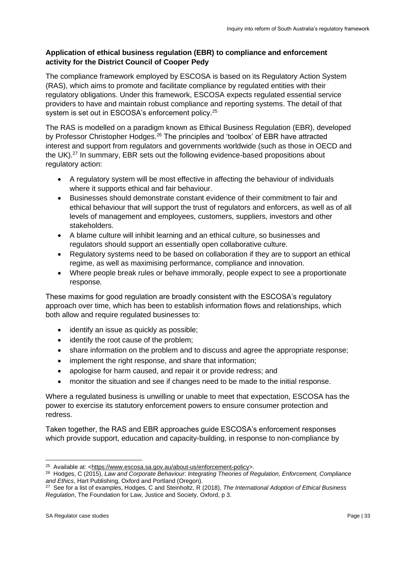## **Application of ethical business regulation (EBR) to compliance and enforcement activity for the District Council of Cooper Pedy**

The compliance framework employed by ESCOSA is based on its Regulatory Action System (RAS), which aims to promote and facilitate compliance by regulated entities with their regulatory obligations. Under this framework, ESCOSA expects regulated essential service providers to have and maintain robust compliance and reporting systems. The detail of that system is set out in ESCOSA's enforcement policy.<sup>25</sup>

The RAS is modelled on a paradigm known as Ethical Business Regulation (EBR), developed by Professor Christopher Hodges.<sup>26</sup> The principles and 'toolbox' of EBR have attracted interest and support from regulators and governments worldwide (such as those in OECD and the UK).<sup>27</sup> In summary, EBR sets out the following evidence-based propositions about regulatory action:

- A regulatory system will be most effective in affecting the behaviour of individuals where it supports ethical and fair behaviour.
- Businesses should demonstrate constant evidence of their commitment to fair and ethical behaviour that will support the trust of regulators and enforcers, as well as of all levels of management and employees, customers, suppliers, investors and other stakeholders.
- A blame culture will inhibit learning and an ethical culture, so businesses and regulators should support an essentially open collaborative culture.
- Regulatory systems need to be based on collaboration if they are to support an ethical regime, as well as maximising performance, compliance and innovation.
- Where people break rules or behave immorally, people expect to see a proportionate response*.*

These maxims for good regulation are broadly consistent with the ESCOSA's regulatory approach over time, which has been to establish information flows and relationships, which both allow and require regulated businesses to:

- identify an issue as quickly as possible;
- identify the root cause of the problem;
- share information on the problem and to discuss and agree the appropriate response:
- implement the right response, and share that information;
- apologise for harm caused, and repair it or provide redress; and
- monitor the situation and see if changes need to be made to the initial response.

Where a regulated business is unwilling or unable to meet that expectation, ESCOSA has the power to exercise its statutory enforcement powers to ensure consumer protection and redress.

Taken together, the RAS and EBR approaches guide ESCOSA's enforcement responses which provide support, education and capacity-building, in response to non-compliance by

<sup>&</sup>lt;sup>25</sup> Available at: <**https://www.escosa.sa.gov.au/about-us/enforcement-policy>.** 

<sup>&</sup>lt;sup>26</sup> Hodges, C (2015), Law and Corporate Behaviour: Integrating Theories of Regulation, Enforcement, Compliance *and Ethics*, Hart Publishing, Oxford and Portland (Oregon).

<sup>27</sup> See for a list of examples, Hodges, C and Steinholtz, R (2018), *The International Adoption of Ethical Business Regulation*, The Foundation for Law, Justice and Society, Oxford, p 3.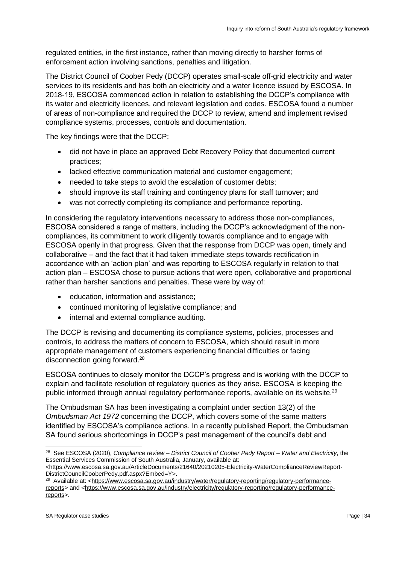regulated entities, in the first instance, rather than moving directly to harsher forms of enforcement action involving sanctions, penalties and litigation.

The District Council of Coober Pedy (DCCP) operates small-scale off-grid electricity and water services to its residents and has both an electricity and a water licence issued by ESCOSA. In 2018-19, ESCOSA commenced action in relation to establishing the DCCP's compliance with its water and electricity licences, and relevant legislation and codes. ESCOSA found a number of areas of non-compliance and required the DCCP to review, amend and implement revised compliance systems, processes, controls and documentation.

The key findings were that the DCCP:

- did not have in place an approved Debt Recovery Policy that documented current practices;
- lacked effective communication material and customer engagement;
- needed to take steps to avoid the escalation of customer debts;
- should improve its staff training and contingency plans for staff turnover; and
- was not correctly completing its compliance and performance reporting.

In considering the regulatory interventions necessary to address those non-compliances, ESCOSA considered a range of matters, including the DCCP's acknowledgment of the noncompliances, its commitment to work diligently towards compliance and to engage with ESCOSA openly in that progress. Given that the response from DCCP was open, timely and collaborative – and the fact that it had taken immediate steps towards rectification in accordance with an 'action plan' and was reporting to ESCOSA regularly in relation to that action plan – ESCOSA chose to pursue actions that were open, collaborative and proportional rather than harsher sanctions and penalties. These were by way of:

- education, information and assistance;
- continued monitoring of legislative compliance; and
- internal and external compliance auditing.

The DCCP is revising and documenting its compliance systems, policies, processes and controls, to address the matters of concern to ESCOSA, which should result in more appropriate management of customers experiencing financial difficulties or facing disconnection going forward.<sup>28</sup>

ESCOSA continues to closely monitor the DCCP's progress and is working with the DCCP to explain and facilitate resolution of regulatory queries as they arise. ESCOSA is keeping the public informed through annual regulatory performance reports, available on its website.<sup>29</sup>

The Ombudsman SA has been investigating a complaint under section 13(2) of the *Ombudsman Act 1972* concerning the DCCP, which covers some of the same matters identified by ESCOSA's compliance actions. In a recently published Report, the Ombudsman SA found serious shortcomings in DCCP's past management of the council's debt and

<sup>28</sup> See ESCOSA (2020), *Compliance review – District Council of Coober Pedy Report – Water and Electricity*, the Essential Services Commission of South Australia, January, available at:

[<sup>&</sup>lt;https://www.escosa.sa.gov.au/ArticleDocuments/21640/20210205-Electricity-WaterComplianceReviewReport-](https://www.escosa.sa.gov.au/ArticleDocuments/21640/20210205-Electricity-WaterComplianceReviewReport-DistrictCouncilCooberPedy.pdf.aspx?Embed=Y)[DistrictCouncilCooberPedy.pdf.aspx?Embed=Y>](https://www.escosa.sa.gov.au/ArticleDocuments/21640/20210205-Electricity-WaterComplianceReviewReport-DistrictCouncilCooberPedy.pdf.aspx?Embed=Y).

<sup>&</sup>lt;sup>29</sup> Available at: <**https://www.escosa.sa.gov.au/industry/water/regulatory-reporting/regulatory-performance**[reports>](https://www.escosa.sa.gov.au/industry/water/regulatory-reporting/regulatory-performance-reports) and [<https://www.escosa.sa.gov.au/industry/electricity/regulatory-reporting/regulatory-performance](https://www.escosa.sa.gov.au/industry/electricity/regulatory-reporting/regulatory-performance-reports)[reports>](https://www.escosa.sa.gov.au/industry/electricity/regulatory-reporting/regulatory-performance-reports).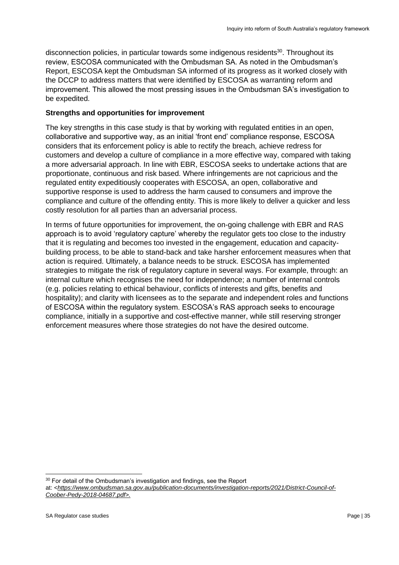disconnection policies, in particular towards some indigenous residents $30$ . Throughout its review, ESCOSA communicated with the Ombudsman SA. As noted in the Ombudsman's Report, ESCOSA kept the Ombudsman SA informed of its progress as it worked closely with the DCCP to address matters that were identified by ESCOSA as warranting reform and improvement. This allowed the most pressing issues in the Ombudsman SA's investigation to be expedited.

#### **Strengths and opportunities for improvement**

The key strengths in this case study is that by working with regulated entities in an open, collaborative and supportive way, as an initial 'front end' compliance response, ESCOSA considers that its enforcement policy is able to rectify the breach, achieve redress for customers and develop a culture of compliance in a more effective way, compared with taking a more adversarial approach. In line with EBR, ESCOSA seeks to undertake actions that are proportionate, continuous and risk based. Where infringements are not capricious and the regulated entity expeditiously cooperates with ESCOSA, an open, collaborative and supportive response is used to address the harm caused to consumers and improve the compliance and culture of the offending entity. This is more likely to deliver a quicker and less costly resolution for all parties than an adversarial process.

In terms of future opportunities for improvement, the on-going challenge with EBR and RAS approach is to avoid 'regulatory capture' whereby the regulator gets too close to the industry that it is regulating and becomes too invested in the engagement, education and capacitybuilding process, to be able to stand-back and take harsher enforcement measures when that action is required. Ultimately, a balance needs to be struck. ESCOSA has implemented strategies to mitigate the risk of regulatory capture in several ways. For example, through: an internal culture which recognises the need for independence; a number of internal controls (e.g. policies relating to ethical behaviour, conflicts of interests and gifts, benefits and hospitality); and clarity with licensees as to the separate and independent roles and functions of ESCOSA within the regulatory system. ESCOSA's RAS approach seeks to encourage compliance, initially in a supportive and cost-effective manner, while still reserving stronger enforcement measures where those strategies do not have the desired outcome.

<sup>&</sup>lt;sup>30</sup> For detail of the Ombudsman's investigation and findings, see the Report at: *[<https://www.ombudsman.sa.gov.au/publication-documents/investigation-reports/2021/District-Council-of-](https://www.ombudsman.sa.gov.au/publication-documents/investigation-reports/2021/District-Council-of-Coober-Pedy-2018-04687.pdf)[Coober-Pedy-2018-04687.pdf>](https://www.ombudsman.sa.gov.au/publication-documents/investigation-reports/2021/District-Council-of-Coober-Pedy-2018-04687.pdf).*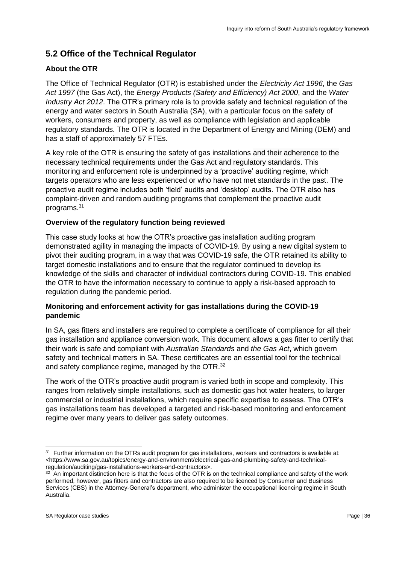# <span id="page-35-0"></span>**5.2 Office of the Technical Regulator**

# **About the OTR**

The Office of Technical Regulator (OTR) is established under the *Electricity Act 1996*, the *Gas Act 1997* (the Gas Act), the *Energy Products (Safety and Efficiency) Act 2000*, and the *Water Industry Act 2012*. The OTR's primary role is to provide safety and technical regulation of the energy and water sectors in South Australia (SA), with a particular focus on the safety of workers, consumers and property, as well as compliance with legislation and applicable regulatory standards. The OTR is located in the Department of Energy and Mining (DEM) and has a staff of approximately 57 FTEs.

A key role of the OTR is ensuring the safety of gas installations and their adherence to the necessary technical requirements under the Gas Act and regulatory standards. This monitoring and enforcement role is underpinned by a 'proactive' auditing regime, which targets operators who are less experienced or who have not met standards in the past. The proactive audit regime includes both 'field' audits and 'desktop' audits. The OTR also has complaint-driven and random auditing programs that complement the proactive audit programs.<sup>31</sup>

# **Overview of the regulatory function being reviewed**

This case study looks at how the OTR's proactive gas installation auditing program demonstrated agility in managing the impacts of COVID-19. By using a new digital system to pivot their auditing program, in a way that was COVID-19 safe, the OTR retained its ability to target domestic installations and to ensure that the regulator continued to develop its knowledge of the skills and character of individual contractors during COVID-19. This enabled the OTR to have the information necessary to continue to apply a risk-based approach to regulation during the pandemic period.

# **Monitoring and enforcement activity for gas installations during the COVID-19 pandemic**

In SA, gas fitters and installers are required to complete a certificate of compliance for all their gas installation and appliance conversion work. This document allows a gas fitter to certify that their work is safe and compliant with *Australian Standards* and *the Gas Act*, which govern safety and technical matters in SA. These certificates are an essential tool for the technical and safety compliance regime, managed by the OTR.<sup>32</sup>

The work of the OTR's proactive audit program is varied both in scope and complexity. This ranges from relatively simple installations, such as domestic gas hot water heaters, to larger commercial or industrial installations, which require specific expertise to assess. The OTR's gas installations team has developed a targeted and risk-based monitoring and enforcement regime over many years to deliver gas safety outcomes.

 $31$  Further information on the OTRs audit program for gas installations, workers and contractors is available at:  $\n$  [<https://www.sa.gov.au/topics/energy-and-environment/electrical-gas-and-plumbing-safety-and-technical](https://www.sa.gov.au/topics/energy-and-environment/electrical-gas-and-plumbing-safety-and-technical-regulation/auditing/gas-installations-workers-and-contractors)[regulation/auditing/gas-installations-workers-and-contractors>](https://www.sa.gov.au/topics/energy-and-environment/electrical-gas-and-plumbing-safety-and-technical-regulation/auditing/gas-installations-workers-and-contractors).

 $32$  An important distinction here is that the focus of the OTR is on the technical compliance and safety of the work performed, however, gas fitters and contractors are also required to be licenced by Consumer and Business Services (CBS) in the Attorney-General's department, who administer the occupational licencing regime in South Australia.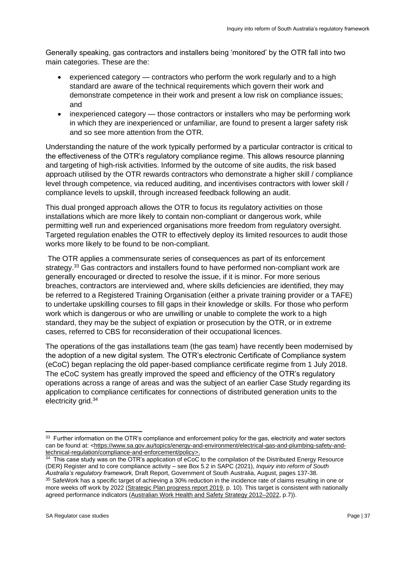Generally speaking, gas contractors and installers being 'monitored' by the OTR fall into two main categories. These are the:

- experienced category contractors who perform the work regularly and to a high standard are aware of the technical requirements which govern their work and demonstrate competence in their work and present a low risk on compliance issues; and
- inexperienced category those contractors or installers who may be performing work in which they are inexperienced or unfamiliar, are found to present a larger safety risk and so see more attention from the OTR.

Understanding the nature of the work typically performed by a particular contractor is critical to the effectiveness of the OTR's regulatory compliance regime. This allows resource planning and targeting of high-risk activities. Informed by the outcome of site audits, the risk based approach utilised by the OTR rewards contractors who demonstrate a higher skill / compliance level through competence, via reduced auditing, and incentivises contractors with lower skill / compliance levels to upskill, through increased feedback following an audit.

This dual pronged approach allows the OTR to focus its regulatory activities on those installations which are more likely to contain non-compliant or dangerous work, while permitting well run and experienced organisations more freedom from regulatory oversight. Targeted regulation enables the OTR to effectively deploy its limited resources to audit those works more likely to be found to be non-compliant.

The OTR applies a commensurate series of consequences as part of its enforcement strategy.<sup>33</sup> Gas contractors and installers found to have performed non-compliant work are generally encouraged or directed to resolve the issue, if it is minor. For more serious breaches, contractors are interviewed and, where skills deficiencies are identified, they may be referred to a Registered Training Organisation (either a private training provider or a TAFE) to undertake upskilling courses to fill gaps in their knowledge or skills. For those who perform work which is dangerous or who are unwilling or unable to complete the work to a high standard, they may be the subject of expiation or prosecution by the OTR, or in extreme cases, referred to CBS for reconsideration of their occupational licences.

The operations of the gas installations team (the gas team) have recently been modernised by the adoption of a new digital system. The OTR's electronic Certificate of Compliance system (eCoC) began replacing the old paper-based compliance certificate regime from 1 July 2018. The eCoC system has greatly improved the speed and efficiency of the OTR's regulatory operations across a range of areas and was the subject of an earlier Case Study regarding its application to compliance certificates for connections of distributed generation units to the electricity grid.<sup>34</sup>

 $33$  Further information on the OTR's compliance and enforcement policy for the gas, electricity and water sectors can be found at: [<https://www.sa.gov.au/topics/energy-and-environment/electrical-gas-and-plumbing-safety-and](https://www.sa.gov.au/topics/energy-and-environment/electrical-gas-and-plumbing-safety-and-technical-regulation/compliance-and-enforcement/policy)<u>[technical-regulation/compliance-and-enforcement/policy>](https://www.sa.gov.au/topics/energy-and-environment/electrical-gas-and-plumbing-safety-and-technical-regulation/compliance-and-enforcement/policy).</u><br><sup>34</sup> This case study was on the OTR's application of eCoC to the compilation of the Distributed Energy Resource

<sup>(</sup>DER) Register and to core compliance activity – see Box 5.2 in SAPC (2021), *Inquiry into reform of South Australia's regulatory framework,* Draft Report, Government of South Australia, August, pages 137-38. <sup>35</sup> SafeWork has a specific target of achieving a 30% reduction in the incidence rate of claims resulting in one or more weeks off work by 2022 [\(Strategic Plan progress report 2019,](https://www.safework.sa.gov.au/__data/assets/pdf_file/0009/361179/Strategic-Plan-Progress-Report-2021.pdf) p. 10). This target is consistent with nationally agreed performance indicators [\(Australian Work Health and Safety Strategy 2012–2022,](https://www.safeworkaustralia.gov.au/system/files/documents/1902/australian-work-health-safety-strategy-2012-2022v2.pdf) p.7)).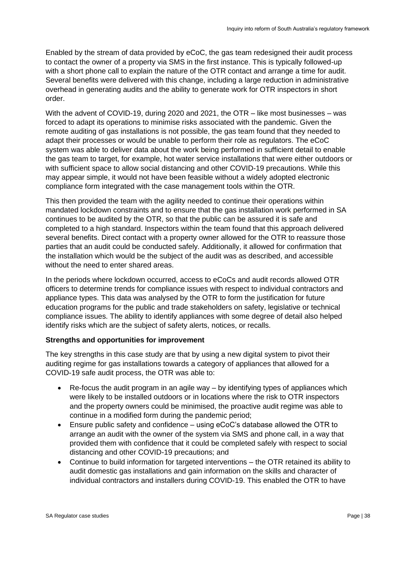Enabled by the stream of data provided by eCoC, the gas team redesigned their audit process to contact the owner of a property via SMS in the first instance. This is typically followed-up with a short phone call to explain the nature of the OTR contact and arrange a time for audit. Several benefits were delivered with this change, including a large reduction in administrative overhead in generating audits and the ability to generate work for OTR inspectors in short order.

With the advent of COVID-19, during 2020 and 2021, the OTR – like most businesses – was forced to adapt its operations to minimise risks associated with the pandemic. Given the remote auditing of gas installations is not possible, the gas team found that they needed to adapt their processes or would be unable to perform their role as regulators. The eCoC system was able to deliver data about the work being performed in sufficient detail to enable the gas team to target, for example, hot water service installations that were either outdoors or with sufficient space to allow social distancing and other COVID-19 precautions. While this may appear simple, it would not have been feasible without a widely adopted electronic compliance form integrated with the case management tools within the OTR.

This then provided the team with the agility needed to continue their operations within mandated lockdown constraints and to ensure that the gas installation work performed in SA continues to be audited by the OTR, so that the public can be assured it is safe and completed to a high standard. Inspectors within the team found that this approach delivered several benefits. Direct contact with a property owner allowed for the OTR to reassure those parties that an audit could be conducted safely. Additionally, it allowed for confirmation that the installation which would be the subject of the audit was as described, and accessible without the need to enter shared areas.

In the periods where lockdown occurred, access to eCoCs and audit records allowed OTR officers to determine trends for compliance issues with respect to individual contractors and appliance types. This data was analysed by the OTR to form the justification for future education programs for the public and trade stakeholders on safety, legislative or technical compliance issues. The ability to identify appliances with some degree of detail also helped identify risks which are the subject of safety alerts, notices, or recalls.

#### **Strengths and opportunities for improvement**

The key strengths in this case study are that by using a new digital system to pivot their auditing regime for gas installations towards a category of appliances that allowed for a COVID-19 safe audit process, the OTR was able to:

- $Re$ -focus the audit program in an agile way by identifying types of appliances which were likely to be installed outdoors or in locations where the risk to OTR inspectors and the property owners could be minimised, the proactive audit regime was able to continue in a modified form during the pandemic period;
- Ensure public safety and confidence using eCoC's database allowed the OTR to arrange an audit with the owner of the system via SMS and phone call, in a way that provided them with confidence that it could be completed safely with respect to social distancing and other COVID-19 precautions; and
- Continue to build information for targeted interventions the OTR retained its ability to audit domestic gas installations and gain information on the skills and character of individual contractors and installers during COVID-19. This enabled the OTR to have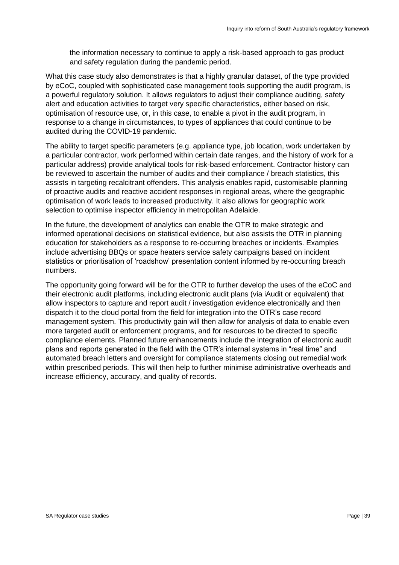the information necessary to continue to apply a risk-based approach to gas product and safety regulation during the pandemic period.

What this case study also demonstrates is that a highly granular dataset, of the type provided by eCoC, coupled with sophisticated case management tools supporting the audit program, is a powerful regulatory solution. It allows regulators to adjust their compliance auditing, safety alert and education activities to target very specific characteristics, either based on risk, optimisation of resource use, or, in this case, to enable a pivot in the audit program, in response to a change in circumstances, to types of appliances that could continue to be audited during the COVID-19 pandemic.

The ability to target specific parameters (e.g. appliance type, job location, work undertaken by a particular contractor, work performed within certain date ranges, and the history of work for a particular address) provide analytical tools for risk-based enforcement. Contractor history can be reviewed to ascertain the number of audits and their compliance / breach statistics, this assists in targeting recalcitrant offenders. This analysis enables rapid, customisable planning of proactive audits and reactive accident responses in regional areas, where the geographic optimisation of work leads to increased productivity. It also allows for geographic work selection to optimise inspector efficiency in metropolitan Adelaide.

In the future, the development of analytics can enable the OTR to make strategic and informed operational decisions on statistical evidence, but also assists the OTR in planning education for stakeholders as a response to re-occurring breaches or incidents. Examples include advertising BBQs or space heaters service safety campaigns based on incident statistics or prioritisation of 'roadshow' presentation content informed by re-occurring breach numbers.

The opportunity going forward will be for the OTR to further develop the uses of the eCoC and their electronic audit platforms, including electronic audit plans (via iAudit or equivalent) that allow inspectors to capture and report audit / investigation evidence electronically and then dispatch it to the cloud portal from the field for integration into the OTR's case record management system. This productivity gain will then allow for analysis of data to enable even more targeted audit or enforcement programs, and for resources to be directed to specific compliance elements. Planned future enhancements include the integration of electronic audit plans and reports generated in the field with the OTR's internal systems in "real time" and automated breach letters and oversight for compliance statements closing out remedial work within prescribed periods. This will then help to further minimise administrative overheads and increase efficiency, accuracy, and quality of records.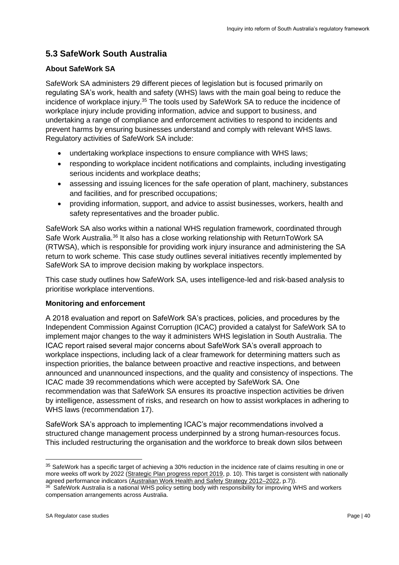# <span id="page-39-0"></span>**5.3 SafeWork South Australia**

## **About SafeWork SA**

SafeWork SA administers 29 different pieces of legislation but is focused primarily on regulating SA's work, health and safety (WHS) laws with the main goal being to reduce the incidence of workplace injury.<sup>35</sup> The tools used by SafeWork SA to reduce the incidence of workplace injury include providing information, advice and support to business, and undertaking a range of compliance and enforcement activities to respond to incidents and prevent harms by ensuring businesses understand and comply with relevant WHS laws. Regulatory activities of SafeWork SA include:

- undertaking workplace inspections to ensure compliance with WHS laws;
- responding to workplace incident notifications and complaints, including investigating serious incidents and workplace deaths;
- assessing and issuing licences for the safe operation of plant, machinery, substances and facilities, and for prescribed occupations;
- providing information, support, and advice to assist businesses, workers, health and safety representatives and the broader public.

SafeWork SA also works within a national WHS regulation framework, coordinated through Safe Work Australia.<sup>36</sup> It also has a close working relationship with ReturnToWork SA (RTWSA), which is responsible for providing work injury insurance and administering the SA return to work scheme. This case study outlines several initiatives recently implemented by SafeWork SA to improve decision making by workplace inspectors.

This case study outlines how SafeWork SA, uses intelligence-led and risk-based analysis to prioritise workplace interventions.

## **Monitoring and enforcement**

A 2018 evaluation and report on SafeWork SA's practices, policies, and procedures by the Independent Commission Against Corruption (ICAC) provided a catalyst for SafeWork SA to implement major changes to the way it administers WHS legislation in South Australia. The ICAC report raised several major concerns about SafeWork SA's overall approach to workplace inspections, including lack of a clear framework for determining matters such as inspection priorities, the balance between proactive and reactive inspections, and between announced and unannounced inspections, and the quality and consistency of inspections. The ICAC made 39 recommendations which were accepted by SafeWork SA. One recommendation was that SafeWork SA ensures its proactive inspection activities be driven by intelligence, assessment of risks, and research on how to assist workplaces in adhering to WHS laws (recommendation 17).

SafeWork SA's approach to implementing ICAC's major recommendations involved a structured change management process underpinned by a strong human-resources focus. This included restructuring the organisation and the workforce to break down silos between

<sup>&</sup>lt;sup>35</sup> SafeWork has a specific target of achieving a 30% reduction in the incidence rate of claims resulting in one or more weeks off work by 2022 [\(Strategic Plan progress report 2019,](https://www.safework.sa.gov.au/__data/assets/pdf_file/0009/361179/Strategic-Plan-Progress-Report-2021.pdf) p. 10). This target is consistent with nationally agreed performance indicators [\(Australian Work Health and Safety Strategy 2012–2022,](https://www.safeworkaustralia.gov.au/system/files/documents/1902/australian-work-health-safety-strategy-2012-2022v2.pdf) p.7)).

<sup>&</sup>lt;sup>36</sup> SafeWork Australia is a national WHS policy setting body with responsibility for improving WHS and workers compensation arrangements across Australia.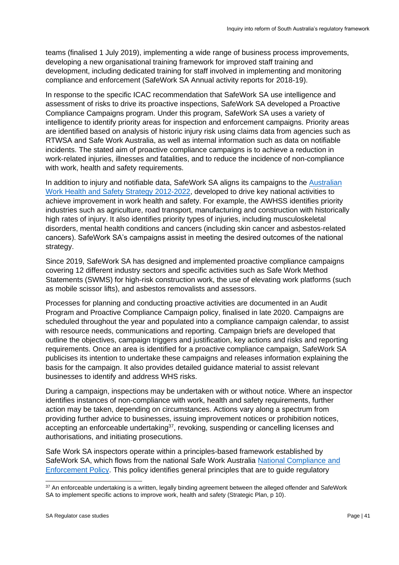teams (finalised 1 July 2019), implementing a wide range of business process improvements, developing a new organisational training framework for improved staff training and development, including dedicated training for staff involved in implementing and monitoring compliance and enforcement (SafeWork SA Annual activity reports for 2018-19).

In response to the specific ICAC recommendation that SafeWork SA use intelligence and assessment of risks to drive its proactive inspections, SafeWork SA developed a Proactive Compliance Campaigns program. Under this program, SafeWork SA uses a variety of intelligence to identify priority areas for inspection and enforcement campaigns. Priority areas are identified based on analysis of historic injury risk using claims data from agencies such as RTWSA and Safe Work Australia, as well as internal information such as data on notifiable incidents. The stated aim of proactive compliance campaigns is to achieve a reduction in work-related injuries, illnesses and fatalities, and to reduce the incidence of non-compliance with work, health and safety requirements.

In addition to injury and notifiable data, SafeWork SA aligns its campaigns to the Australian [Work Health and Safety Strategy 2012-2022,](https://www.safeworkaustralia.gov.au/system/files/documents/1902/australian-work-health-safety-strategy-2012-2022v2.pdf) developed to drive key national activities to achieve improvement in work health and safety. For example, the AWHSS identifies priority industries such as agriculture, road transport, manufacturing and construction with historically high rates of injury. It also identifies priority types of injuries, including musculoskeletal disorders, mental health conditions and cancers (including skin cancer and asbestos-related cancers). SafeWork SA's campaigns assist in meeting the desired outcomes of the national strategy.

Since 2019, SafeWork SA has designed and implemented proactive compliance campaigns covering 12 different industry sectors and specific activities such as Safe Work Method Statements (SWMS) for high-risk construction work, the use of elevating work platforms (such as mobile scissor lifts), and asbestos removalists and assessors.

Processes for planning and conducting proactive activities are documented in an Audit Program and Proactive Compliance Campaign policy, finalised in late 2020. Campaigns are scheduled throughout the year and populated into a compliance campaign calendar, to assist with resource needs, communications and reporting. Campaign briefs are developed that outline the objectives, campaign triggers and justification, key actions and risks and reporting requirements. Once an area is identified for a proactive compliance campaign, SafeWork SA publicises its intention to undertake these campaigns and releases information explaining the basis for the campaign. It also provides detailed guidance material to assist relevant businesses to identify and address WHS risks.

During a campaign, inspections may be undertaken with or without notice. Where an inspector identifies instances of non-compliance with work, health and safety requirements, further action may be taken, depending on circumstances. Actions vary along a spectrum from providing further advice to businesses, issuing improvement notices or prohibition notices, accepting an enforceable undertaking<sup>37</sup>, revoking, suspending or cancelling licenses and authorisations, and initiating prosecutions.

Safe Work SA inspectors operate within a principles-based framework established by SafeWork SA, which flows from the national Safe Work Australia [National Compliance and](https://www.safeworkaustralia.gov.au/system/files/documents/1702/national_compliance_and_enforcement_policy.pdf)  [Enforcement Policy.](https://www.safeworkaustralia.gov.au/system/files/documents/1702/national_compliance_and_enforcement_policy.pdf) This policy identifies general principles that are to guide regulatory

<sup>37</sup> An enforceable undertaking is a written, legally binding agreement between the alleged offender and SafeWork SA to implement specific actions to improve work, health and safety (Strategic Plan, p 10).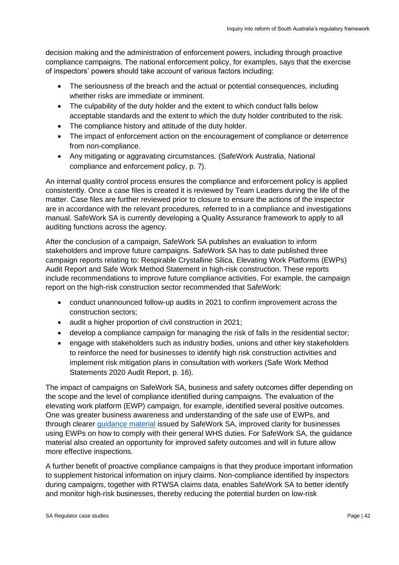decision making and the administration of enforcement powers, including through proactive compliance campaigns. The national enforcement policy, for examples, says that the exercise of inspectors' powers should take account of various factors including:

- The seriousness of the breach and the actual or potential consequences, including whether risks are immediate or imminent.
- The culpability of the duty holder and the extent to which conduct falls below acceptable standards and the extent to which the duty holder contributed to the risk.
- The compliance history and attitude of the duty holder.
- The impact of enforcement action on the encouragement of compliance or deterrence from non-compliance.
- Any mitigating or aggravating circumstances. (SafeWork Australia, National compliance and enforcement policy, p. 7).

An internal quality control process ensures the compliance and enforcement policy is applied consistently. Once a case files is created it is reviewed by Team Leaders during the life of the matter. Case files are further reviewed prior to closure to ensure the actions of the inspector are in accordance with the relevant procedures, referred to in a compliance and investigations manual. SafeWork SA is currently developing a Quality Assurance framework to apply to all auditing functions across the agency.

After the conclusion of a campaign, SafeWork SA publishes an evaluation to inform stakeholders and improve future campaigns. SafeWork SA has to date published three campaign reports relating to: Respirable Crystalline Silica, Elevating Work Platforms (EWPs) Audit Report and Safe Work Method Statement in high-risk construction. These reports include recommendations to improve future compliance activities. For example, the campaign report on the high-risk construction sector recommended that SafeWork:

- conduct unannounced follow-up audits in 2021 to confirm improvement across the construction sectors;
- audit a higher proportion of civil construction in 2021;
- develop a compliance campaign for managing the risk of falls in the residential sector;
- engage with stakeholders such as industry bodies, unions and other key stakeholders to reinforce the need for businesses to identify high risk construction activities and implement risk mitigation plans in consultation with workers (Safe Work Method Statements 2020 Audit Report, p. 16).

The impact of campaigns on SafeWork SA, business and safety outcomes differ depending on the scope and the level of compliance identified during campaigns. The evaluation of the elevating work platform (EWP) campaign, for example, identified several positive outcomes. One was greater business awareness and understanding of the safe use of EWPs, and through clearer [guidance material](https://www.safework.sa.gov.au/__data/assets/pdf_file/0019/183016/Mobile-elevating-work-platforms-guideline.pdf) issued by SafeWork SA, improved clarity for businesses using EWPs on how to comply with their general WHS duties. For SafeWork SA, the guidance material also created an opportunity for improved safety outcomes and will in future allow more effective inspections.

A further benefit of proactive compliance campaigns is that they produce important information to supplement historical information on injury claims. Non-compliance identified by inspectors during campaigns, together with RTWSA claims data, enables SafeWork SA to better identify and monitor high-risk businesses, thereby reducing the potential burden on low-risk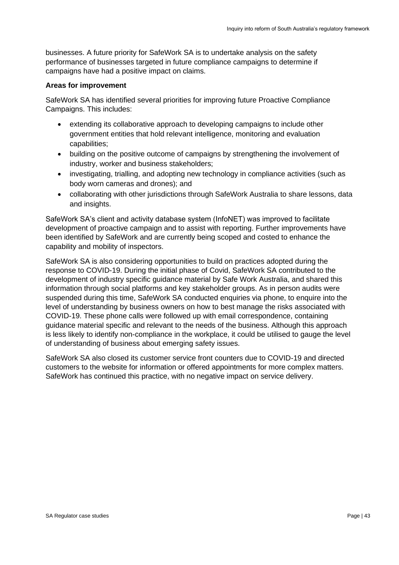businesses. A future priority for SafeWork SA is to undertake analysis on the safety performance of businesses targeted in future compliance campaigns to determine if campaigns have had a positive impact on claims.

#### **Areas for improvement**

SafeWork SA has identified several priorities for improving future Proactive Compliance Campaigns. This includes:

- extending its collaborative approach to developing campaigns to include other government entities that hold relevant intelligence, monitoring and evaluation capabilities;
- building on the positive outcome of campaigns by strengthening the involvement of industry, worker and business stakeholders;
- investigating, trialling, and adopting new technology in compliance activities (such as body worn cameras and drones); and
- collaborating with other jurisdictions through SafeWork Australia to share lessons, data and insights.

SafeWork SA's client and activity database system (InfoNET) was improved to facilitate development of proactive campaign and to assist with reporting. Further improvements have been identified by SafeWork and are currently being scoped and costed to enhance the capability and mobility of inspectors.

SafeWork SA is also considering opportunities to build on practices adopted during the response to COVID-19. During the initial phase of Covid, SafeWork SA contributed to the development of industry specific guidance material by Safe Work Australia, and shared this information through social platforms and key stakeholder groups. As in person audits were suspended during this time, SafeWork SA conducted enquiries via phone, to enquire into the level of understanding by business owners on how to best manage the risks associated with COVID-19. These phone calls were followed up with email correspondence, containing guidance material specific and relevant to the needs of the business. Although this approach is less likely to identify non-compliance in the workplace, it could be utilised to gauge the level of understanding of business about emerging safety issues.

SafeWork SA also closed its customer service front counters due to COVID-19 and directed customers to the website for information or offered appointments for more complex matters. SafeWork has continued this practice, with no negative impact on service delivery.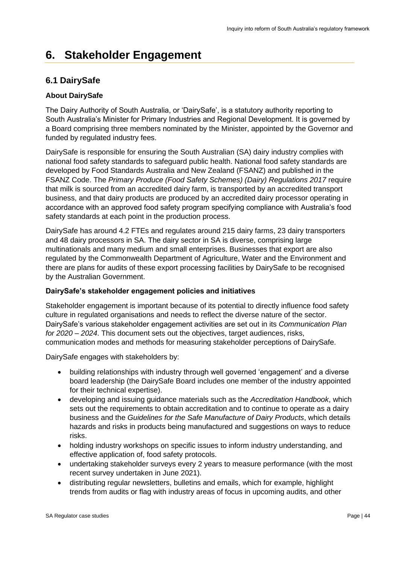# <span id="page-43-0"></span>**6. Stakeholder Engagement**

# <span id="page-43-1"></span>**6.1 DairySafe**

# **About DairySafe**

The Dairy Authority of South Australia, or 'DairySafe', is a statutory authority reporting to South Australia's Minister for Primary Industries and Regional Development. It is governed by a Board comprising three members nominated by the Minister, appointed by the Governor and funded by regulated industry fees.

DairySafe is responsible for ensuring the South Australian (SA) dairy industry complies with national food safety standards to safeguard public health. National food safety standards are developed by Food Standards Australia and New Zealand (FSANZ) and published in the FSANZ Code. The *Primary Produce (Food Safety Schemes) (Dairy) Regulations 2017* require that milk is sourced from an accredited dairy farm, is transported by an accredited transport business, and that dairy products are produced by an accredited dairy processor operating in accordance with an approved food safety program specifying compliance with Australia's food safety standards at each point in the production process.

DairySafe has around 4.2 FTEs and regulates around 215 dairy farms, 23 dairy transporters and 48 dairy processors in SA. The dairy sector in SA is diverse, comprising large multinationals and many medium and small enterprises. Businesses that export are also regulated by the Commonwealth Department of Agriculture, Water and the Environment and there are plans for audits of these export processing facilities by DairySafe to be recognised by the Australian Government.

## **DairySafe's stakeholder engagement policies and initiatives**

Stakeholder engagement is important because of its potential to directly influence food safety culture in regulated organisations and needs to reflect the diverse nature of the sector. DairySafe's various stakeholder engagement activities are set out in its *Communication Plan for 2020 – 2024*. This document sets out the objectives, target audiences, risks, communication modes and methods for measuring stakeholder perceptions of DairySafe.

DairySafe engages with stakeholders by:

- building relationships with industry through well governed 'engagement' and a diverse board leadership (the DairySafe Board includes one member of the industry appointed for their technical expertise).
- developing and issuing guidance materials such as the *Accreditation Handbook*, which sets out the requirements to obtain accreditation and to continue to operate as a dairy business and the *Guidelines for the Safe Manufacture of Dairy Products*, which details hazards and risks in products being manufactured and suggestions on ways to reduce risks.
- holding industry workshops on specific issues to inform industry understanding, and effective application of, food safety protocols.
- undertaking stakeholder surveys every 2 years to measure performance (with the most recent survey undertaken in June 2021).
- distributing regular newsletters, bulletins and emails, which for example, highlight trends from audits or flag with industry areas of focus in upcoming audits, and other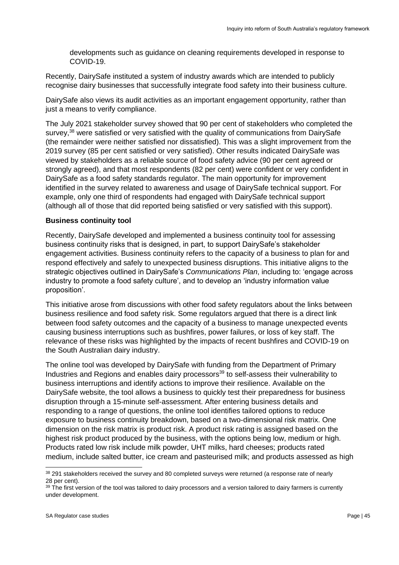developments such as guidance on cleaning requirements developed in response to COVID-19.

Recently, DairySafe instituted a system of industry awards which are intended to publicly recognise dairy businesses that successfully integrate food safety into their business culture.

DairySafe also views its audit activities as an important engagement opportunity, rather than just a means to verify compliance.

The July 2021 stakeholder survey showed that 90 per cent of stakeholders who completed the survey,<sup>38</sup> were satisfied or very satisfied with the quality of communications from DairySafe (the remainder were neither satisfied nor dissatisfied). This was a slight improvement from the 2019 survey (85 per cent satisfied or very satisfied). Other results indicated DairySafe was viewed by stakeholders as a reliable source of food safety advice (90 per cent agreed or strongly agreed), and that most respondents (82 per cent) were confident or very confident in DairySafe as a food safety standards regulator. The main opportunity for improvement identified in the survey related to awareness and usage of DairySafe technical support. For example, only one third of respondents had engaged with DairySafe technical support (although all of those that did reported being satisfied or very satisfied with this support).

#### **Business continuity tool**

Recently, DairySafe developed and implemented a business continuity tool for assessing business continuity risks that is designed, in part, to support DairySafe's stakeholder engagement activities. Business continuity refers to the capacity of a business to plan for and respond effectively and safely to unexpected business disruptions. This initiative aligns to the strategic objectives outlined in DairySafe's *Communications Plan*, including to: 'engage across industry to promote a food safety culture', and to develop an 'industry information value proposition'.

This initiative arose from discussions with other food safety regulators about the links between business resilience and food safety risk. Some regulators argued that there is a direct link between food safety outcomes and the capacity of a business to manage unexpected events causing business interruptions such as bushfires, power failures, or loss of key staff. The relevance of these risks was highlighted by the impacts of recent bushfires and COVID-19 on the South Australian dairy industry.

The online tool was developed by DairySafe with funding from the Department of Primary Industries and Regions and enables dairy processors<sup>39</sup> to self-assess their vulnerability to business interruptions and identify actions to improve their resilience. Available on the DairySafe website, the tool allows a business to quickly test their preparedness for business disruption through a 15-minute self-assessment. After entering business details and responding to a range of questions, the online tool identifies tailored options to reduce exposure to business continuity breakdown, based on a two-dimensional risk matrix. One dimension on the risk matrix is product risk. A product risk rating is assigned based on the highest risk product produced by the business, with the options being low, medium or high. Products rated low risk include milk powder, UHT milks, hard cheeses; products rated medium, include salted butter, ice cream and pasteurised milk; and products assessed as high

<sup>&</sup>lt;sup>38</sup> 291 stakeholders received the survey and 80 completed surveys were returned (a response rate of nearly 28 per cent).

 $39$  The first version of the tool was tailored to dairy processors and a version tailored to dairy farmers is currently under development.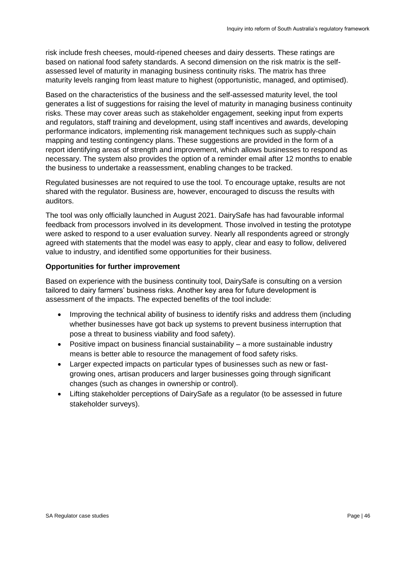risk include fresh cheeses, mould-ripened cheeses and dairy desserts. These ratings are based on national food safety standards. A second dimension on the risk matrix is the selfassessed level of maturity in managing business continuity risks. The matrix has three maturity levels ranging from least mature to highest (opportunistic, managed, and optimised).

Based on the characteristics of the business and the self-assessed maturity level, the tool generates a list of suggestions for raising the level of maturity in managing business continuity risks. These may cover areas such as stakeholder engagement, seeking input from experts and regulators, staff training and development, using staff incentives and awards, developing performance indicators, implementing risk management techniques such as supply-chain mapping and testing contingency plans. These suggestions are provided in the form of a report identifying areas of strength and improvement, which allows businesses to respond as necessary. The system also provides the option of a reminder email after 12 months to enable the business to undertake a reassessment, enabling changes to be tracked.

Regulated businesses are not required to use the tool. To encourage uptake, results are not shared with the regulator. Business are, however, encouraged to discuss the results with auditors.

The tool was only officially launched in August 2021. DairySafe has had favourable informal feedback from processors involved in its development. Those involved in testing the prototype were asked to respond to a user evaluation survey. Nearly all respondents agreed or strongly agreed with statements that the model was easy to apply, clear and easy to follow, delivered value to industry, and identified some opportunities for their business.

#### **Opportunities for further improvement**

Based on experience with the business continuity tool, DairySafe is consulting on a version tailored to dairy farmers' business risks. Another key area for future development is assessment of the impacts. The expected benefits of the tool include:

- Improving the technical ability of business to identify risks and address them (including whether businesses have got back up systems to prevent business interruption that pose a threat to business viability and food safety).
- Positive impact on business financial sustainability a more sustainable industry means is better able to resource the management of food safety risks.
- Larger expected impacts on particular types of businesses such as new or fastgrowing ones, artisan producers and larger businesses going through significant changes (such as changes in ownership or control).
- Lifting stakeholder perceptions of DairySafe as a regulator (to be assessed in future stakeholder surveys).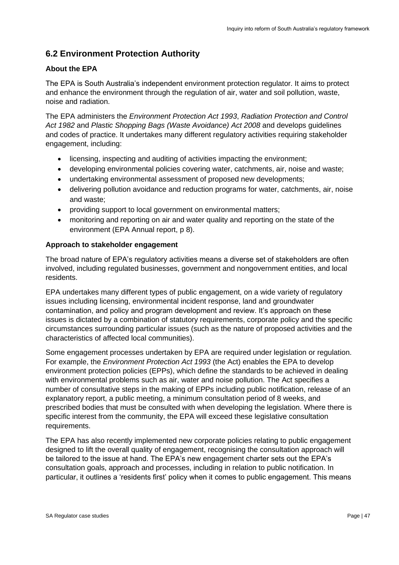# <span id="page-46-0"></span>**6.2 Environment Protection Authority**

## **About the EPA**

The EPA is South Australia's independent environment protection regulator. It aims to protect and enhance the environment through the regulation of air, water and soil pollution, waste, noise and radiation.

The EPA administers the *Environment Protection Act 1993*, *Radiation Protection and Control Act 1982* and *Plastic Shopping Bags (Waste Avoidance) Act 2008* and develops guidelines and codes of practice. It undertakes many different regulatory activities requiring stakeholder engagement, including:

- licensing, inspecting and auditing of activities impacting the environment;
- developing environmental policies covering water, catchments, air, noise and waste;
- undertaking environmental assessment of proposed new developments;
- delivering pollution avoidance and reduction programs for water, catchments, air, noise and waste;
- providing support to local government on environmental matters;
- monitoring and reporting on air and water quality and reporting on the state of the environment (EPA Annual report, p 8).

## **Approach to stakeholder engagement**

The broad nature of EPA's regulatory activities means a diverse set of stakeholders are often involved, including regulated businesses, government and nongovernment entities, and local residents.

EPA undertakes many different types of public engagement, on a wide variety of regulatory issues including licensing, environmental incident response, land and groundwater contamination, and policy and program development and review. It's approach on these issues is dictated by a combination of statutory requirements, corporate policy and the specific circumstances surrounding particular issues (such as the nature of proposed activities and the characteristics of affected local communities).

Some engagement processes undertaken by EPA are required under legislation or regulation. For example, the *Environment Protection Act 1993* (the Act) enables the EPA to develop environment protection policies (EPPs), which define the standards to be achieved in dealing with environmental problems such as air, water and noise pollution. The Act specifies a number of consultative steps in the making of EPPs including public notification, release of an explanatory report, a public meeting, a minimum consultation period of 8 weeks, and prescribed bodies that must be consulted with when developing the legislation. Where there is specific interest from the community, the EPA will exceed these legislative consultation requirements.

The EPA has also recently implemented new corporate policies relating to public engagement designed to lift the overall quality of engagement, recognising the consultation approach will be tailored to the issue at hand. The EPA's new engagement charter sets out the EPA's consultation goals, approach and processes, including in relation to public notification. In particular, it outlines a 'residents first' policy when it comes to public engagement. This means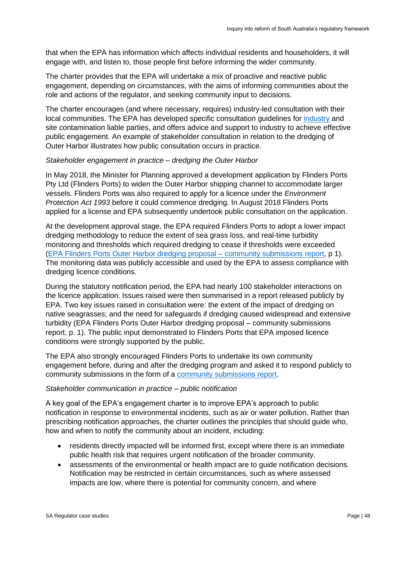that when the EPA has information which affects individual residents and householders, it will engage with, and listen to, those people first before informing the wider community.

The charter provides that the EPA will undertake a mix of proactive and reactive public engagement, depending on circumstances, with the aims of informing communities about the role and actions of the regulator, and seeking community input to decisions.

The charter encourages (and where necessary, requires) industry-led consultation with their local communities. The EPA has developed specific consultation guidelines for [industry](https://www.epa.sa.gov.au/files/13483_guide_industry_engagement.pdf) and site contamination liable parties, and offers advice and support to industry to achieve effective public engagement. An example of stakeholder consultation in relation to the dredging of Outer Harbor illustrates how public consultation occurs in practice.

#### *Stakeholder engagement in practice – dredging the Outer Harbor*

In May 2018, the Minister for Planning approved a development application by Flinders Ports Pty Ltd (Flinders Ports) to widen the Outer Harbor shipping channel to accommodate larger vessels. Flinders Ports was also required to apply for a licence under the *Environment Protection Act 1993* before it could commence dredging. In August 2018 Flinders Ports applied for a license and EPA subsequently undertook public consultation on the application.

At the development approval stage, the EPA required Flinders Ports to adopt a lower impact dredging methodology to reduce the extent of sea grass loss, and real-time turbidity monitoring and thresholds which required dredging to cease if thresholds were exceeded [\(EPA Flinders Ports Outer Harbor dredging proposal –](https://www.epa.sa.gov.au/files/14086_flinders_ports_engage_report_dec2018.pdf) community submissions report, p 1). The monitoring data was publicly accessible and used by the EPA to assess compliance with dredging licence conditions.

During the statutory notification period, the EPA had nearly 100 stakeholder interactions on the licence application. Issues raised were then summarised in a report released publicly by EPA. Two key issues raised in consultation were: the extent of the impact of dredging on native seagrasses; and the need for safeguards if dredging caused widespread and extensive turbidity (EPA Flinders Ports Outer Harbor dredging proposal – community submissions report, p. 1). The public input demonstrated to Flinders Ports that EPA imposed licence conditions were strongly supported by the public.

The EPA also strongly encouraged Flinders Ports to undertake its own community engagement before, during and after the dredging program and asked it to respond publicly to community submissions in the form of a [community submissions report.](https://www.epa.sa.gov.au/files/14102_flinders_ports_response_community_submissions_dec2018.pdf)

#### *Stakeholder communication in practice – public notification*

A key goal of the EPA's engagement charter is to improve EPA's approach to public notification in response to environmental incidents, such as air or water pollution. Rather than prescribing notification approaches, the charter outlines the principles that should guide who, how and when to notify the community about an incident, including:

- residents directly impacted will be informed first, except where there is an immediate public health risk that requires urgent notification of the broader community.
- assessments of the environmental or health impact are to guide notification decisions. Notification may be restricted in certain circumstances, such as where assessed impacts are low, where there is potential for community concern, and where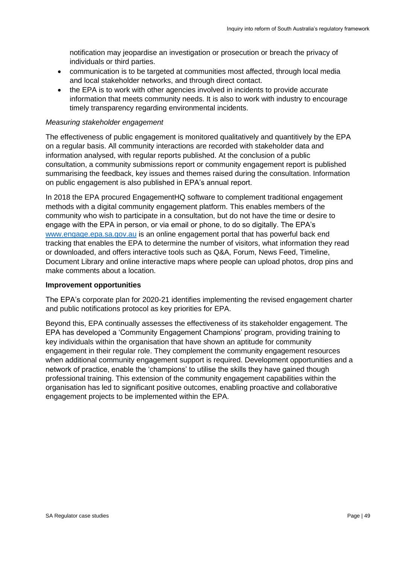notification may jeopardise an investigation or prosecution or breach the privacy of individuals or third parties.

- communication is to be targeted at communities most affected, through local media and local stakeholder networks, and through direct contact.
- the EPA is to work with other agencies involved in incidents to provide accurate information that meets community needs. It is also to work with industry to encourage timely transparency regarding environmental incidents.

#### *Measuring stakeholder engagement*

The effectiveness of public engagement is monitored qualitatively and quantitively by the EPA on a regular basis. All community interactions are recorded with stakeholder data and information analysed, with regular reports published. At the conclusion of a public consultation, a community submissions report or community engagement report is published summarising the feedback, key issues and themes raised during the consultation. Information on public engagement is also published in EPA's annual report.

In 2018 the EPA procured EngagementHQ software to complement traditional engagement methods with a digital community engagement platform. This enables members of the community who wish to participate in a consultation, but do not have the time or desire to engage with the EPA in person, or via email or phone, to do so digitally. The EPA's [www.engage.epa.sa.gov.au](http://www.engage.epa.sa.gov.au/) is an online engagement portal that has powerful back end tracking that enables the EPA to determine the number of visitors, what information they read or downloaded, and offers interactive tools such as Q&A, Forum, News Feed, Timeline, Document Library and online interactive maps where people can upload photos, drop pins and make comments about a location.

#### **Improvement opportunities**

The EPA's corporate plan for 2020-21 identifies implementing the revised engagement charter and public notifications protocol as key priorities for EPA.

Beyond this, EPA continually assesses the effectiveness of its stakeholder engagement. The EPA has developed a 'Community Engagement Champions' program, providing training to key individuals within the organisation that have shown an aptitude for community engagement in their regular role. They complement the community engagement resources when additional community engagement support is required. Development opportunities and a network of practice, enable the 'champions' to utilise the skills they have gained though professional training. This extension of the community engagement capabilities within the organisation has led to significant positive outcomes, enabling proactive and collaborative engagement projects to be implemented within the EPA.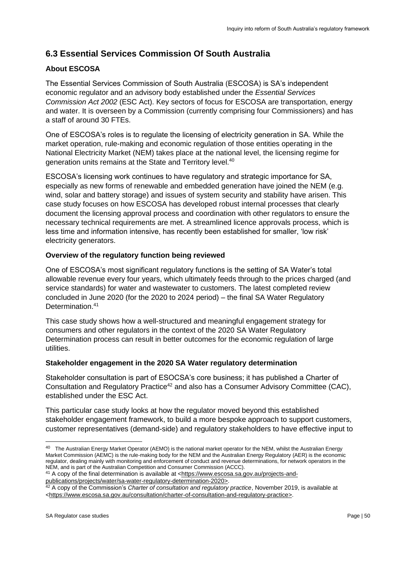# <span id="page-49-0"></span>**6.3 Essential Services Commission Of South Australia**

# **About ESCOSA**

The Essential Services Commission of South Australia (ESCOSA) is SA's independent economic regulator and an advisory body established under the *Essential Services Commission Act 2002* (ESC Act). Key sectors of focus for ESCOSA are transportation, energy and water. It is overseen by a Commission (currently comprising four Commissioners) and has a staff of around 30 FTEs.

One of ESCOSA's roles is to regulate the licensing of electricity generation in SA. While the market operation, rule-making and economic regulation of those entities operating in the National Electricity Market (NEM) takes place at the national level, the licensing regime for generation units remains at the State and Territory level.<sup>40</sup>

ESCOSA's licensing work continues to have regulatory and strategic importance for SA, especially as new forms of renewable and embedded generation have joined the NEM (e.g. wind, solar and battery storage) and issues of system security and stability have arisen. This case study focuses on how ESCOSA has developed robust internal processes that clearly document the licensing approval process and coordination with other regulators to ensure the necessary technical requirements are met. A streamlined licence approvals process, which is less time and information intensive, has recently been established for smaller, 'low risk' electricity generators.

## **Overview of the regulatory function being reviewed**

One of ESCOSA's most significant regulatory functions is the setting of SA Water's total allowable revenue every four years, which ultimately feeds through to the prices charged (and service standards) for water and wastewater to customers. The latest completed review concluded in June 2020 (for the 2020 to 2024 period) – the final SA Water Regulatory Determination.<sup>41</sup>

This case study shows how a well-structured and meaningful engagement strategy for consumers and other regulators in the context of the 2020 SA Water Regulatory Determination process can result in better outcomes for the economic regulation of large utilities.

## **Stakeholder engagement in the 2020 SA Water regulatory determination**

Stakeholder consultation is part of ESOCSA's core business; it has published a Charter of Consultation and Regulatory Practice<sup>42</sup> and also has a Consumer Advisory Committee (CAC), established under the ESC Act.

This particular case study looks at how the regulator moved beyond this established stakeholder engagement framework, to build a more bespoke approach to support customers, customer representatives (demand-side) and regulatory stakeholders to have effective input to

<sup>40</sup> The Australian Energy Market Operator (AEMO) is the national market operator for the NEM, whilst the Australian Energy Market Commission (AEMC) is the rule-making body for the NEM and the Australian Energy Regulatory (AER) is the economic regulator, dealing mainly with monitoring and enforcement of conduct and revenue determinations, for network operators in the NEM, and is part of the Australian Competition and Consumer Commission (ACCC).

<sup>41</sup> A copy of the final determination is available at [<https://www.escosa.sa.gov.au/projects-and-](https://www.escosa.sa.gov.au/projects-and-publications/projects/water/sa-water-regulatory-determination-2020)

[publications/projects/water/sa-water-regulatory-determination-2020>](https://www.escosa.sa.gov.au/projects-and-publications/projects/water/sa-water-regulatory-determination-2020). <sup>42</sup> A copy of the Commission's *Charter of consultation and regulatory practice*, November 2019, is available at

[<sup>&</sup>lt;https://www.escosa.sa.gov.au/consultation/charter-of-consultation-and-regulatory-practice>](https://www.escosa.sa.gov.au/consultation/charter-of-consultation-and-regulatory-practice).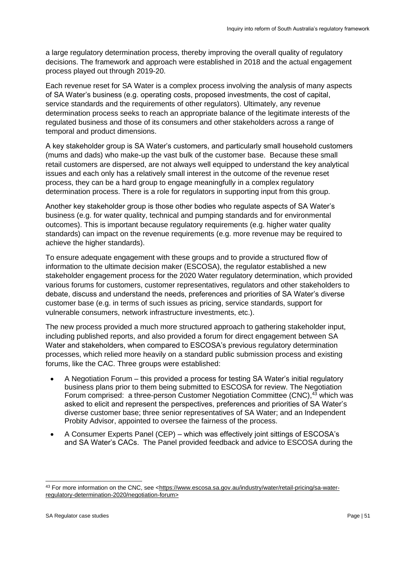a large regulatory determination process, thereby improving the overall quality of regulatory decisions. The framework and approach were established in 2018 and the actual engagement process played out through 2019-20.

Each revenue reset for SA Water is a complex process involving the analysis of many aspects of SA Water's business (e.g. operating costs, proposed investments, the cost of capital, service standards and the requirements of other regulators). Ultimately, any revenue determination process seeks to reach an appropriate balance of the legitimate interests of the regulated business and those of its consumers and other stakeholders across a range of temporal and product dimensions.

A key stakeholder group is SA Water's customers, and particularly small household customers (mums and dads) who make-up the vast bulk of the customer base. Because these small retail customers are dispersed, are not always well equipped to understand the key analytical issues and each only has a relatively small interest in the outcome of the revenue reset process, they can be a hard group to engage meaningfully in a complex regulatory determination process. There is a role for regulators in supporting input from this group.

Another key stakeholder group is those other bodies who regulate aspects of SA Water's business (e.g. for water quality, technical and pumping standards and for environmental outcomes). This is important because regulatory requirements (e.g. higher water quality standards) can impact on the revenue requirements (e.g. more revenue may be required to achieve the higher standards).

To ensure adequate engagement with these groups and to provide a structured flow of information to the ultimate decision maker (ESCOSA), the regulator established a new stakeholder engagement process for the 2020 Water regulatory determination, which provided various forums for customers, customer representatives, regulators and other stakeholders to debate, discuss and understand the needs, preferences and priorities of SA Water's diverse customer base (e.g. in terms of such issues as pricing, service standards, support for vulnerable consumers, network infrastructure investments, etc.).

The new process provided a much more structured approach to gathering stakeholder input, including published reports, and also provided a forum for direct engagement between SA Water and stakeholders, when compared to ESCOSA's previous regulatory determination processes, which relied more heavily on a standard public submission process and existing forums, like the CAC. Three groups were established:

- A Negotiation Forum this provided a process for testing SA Water's initial regulatory business plans prior to them being submitted to ESCOSA for review. The Negotiation Forum comprised: a three-person Customer Negotiation Committee (CNC),<sup>43</sup> which was asked to elicit and represent the perspectives, preferences and priorities of SA Water's diverse customer base; three senior representatives of SA Water; and an Independent Probity Advisor, appointed to oversee the fairness of the process.
- A Consumer Experts Panel (CEP) which was effectively joint sittings of ESCOSA's and SA Water's CACs. The Panel provided feedback and advice to ESCOSA during the

<sup>43</sup> For more information on the CNC, see [<https://www.escosa.sa.gov.au/industry/water/retail-pricing/sa-water](https://www.escosa.sa.gov.au/industry/water/retail-pricing/sa-water-regulatory-determination-2020/negotiation-forum)[regulatory-determination-2020/negotiation-forum>](https://www.escosa.sa.gov.au/industry/water/retail-pricing/sa-water-regulatory-determination-2020/negotiation-forum)